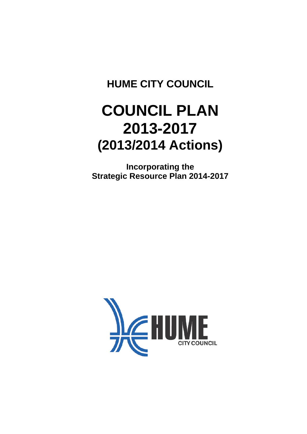# **HUME CITY COUNCIL**

# **COUNCIL PLAN 2013-2017 (2013/2014 Actions)**

**Incorporating the Strategic Resource Plan 2014-2017**

<span id="page-0-0"></span>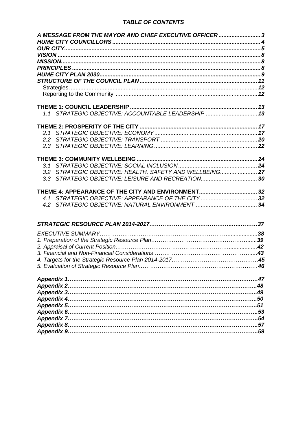#### *TABLE OF CONTENTS*

| A MESSAGE FROM THE MAYOR AND CHIEF EXECUTIVE OFFICER 3                                                         |  |
|----------------------------------------------------------------------------------------------------------------|--|
|                                                                                                                |  |
|                                                                                                                |  |
|                                                                                                                |  |
|                                                                                                                |  |
|                                                                                                                |  |
|                                                                                                                |  |
|                                                                                                                |  |
|                                                                                                                |  |
| 1.1 STRATEGIC OBJECTIVE: ACCOUNTABLE LEADERSHIP  13                                                            |  |
|                                                                                                                |  |
|                                                                                                                |  |
| 2.2                                                                                                            |  |
|                                                                                                                |  |
|                                                                                                                |  |
|                                                                                                                |  |
|                                                                                                                |  |
| 3.2 STRATEGIC OBJECTIVE: HEALTH, SAFETY AND WELLBEING 27<br>3.3 STRATEGIC OBJECTIVE: LEISURE AND RECREATION 30 |  |
|                                                                                                                |  |
|                                                                                                                |  |
|                                                                                                                |  |
|                                                                                                                |  |
|                                                                                                                |  |
|                                                                                                                |  |
|                                                                                                                |  |
|                                                                                                                |  |
|                                                                                                                |  |
|                                                                                                                |  |
|                                                                                                                |  |
|                                                                                                                |  |
|                                                                                                                |  |
|                                                                                                                |  |
|                                                                                                                |  |
|                                                                                                                |  |
|                                                                                                                |  |
|                                                                                                                |  |
|                                                                                                                |  |
|                                                                                                                |  |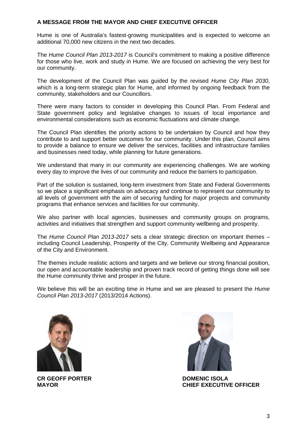#### <span id="page-2-0"></span>**A MESSAGE FROM THE MAYOR AND CHIEF EXECUTIVE OFFICER**

Hume is one of Australia's fastest-growing municipalities and is expected to welcome an additional 70,000 new citizens in the next two decades.

The *Hume Council Plan 2013-2017* is Council's commitment to making a positive difference for those who live, work and study in Hume. We are focused on achieving the very best for our community.

The development of the Council Plan was guided by the revised *Hume City Plan 2030*, which is a long-term strategic plan for Hume, and informed by ongoing feedback from the community, stakeholders and our Councillors.

There were many factors to consider in developing this Council Plan. From Federal and State government policy and legislative changes to issues of local importance and environmental considerations such as economic fluctuations and climate change.

The Council Plan identifies the priority actions to be undertaken by Council and how they contribute to and support better outcomes for our community. Under this plan, Council aims to provide a balance to ensure we deliver the services, facilities and infrastructure families and businesses need today, while planning for future generations.

We understand that many in our community are experiencing challenges. We are working every day to improve the lives of our community and reduce the barriers to participation.

Part of the solution is sustained, long-term investment from State and Federal Governments so we place a significant emphasis on advocacy and continue to represent our community to all levels of government with the aim of securing funding for major projects and community programs that enhance services and facilities for our community.

We also partner with local agencies, businesses and community groups on programs, activities and initiatives that strengthen and support community wellbeing and prosperity.

The *Hume Council Plan 2013-2017* sets a clear strategic direction on important themes – including Council Leadership, Prosperity of the City, Community Wellbeing and Appearance of the City and Environment.

The themes include realistic actions and targets and we believe our strong financial position, our open and accountable leadership and proven track record of getting things done will see the Hume community thrive and prosper in the future.

We believe this will be an exciting time in Hume and we are pleased to present the *Hume Council Plan 2013-2017* (2013/2014 Actions).



**CR GEOFF PORTER MAYOR**



**DOMENIC ISOLA CHIEF EXECUTIVE OFFICER**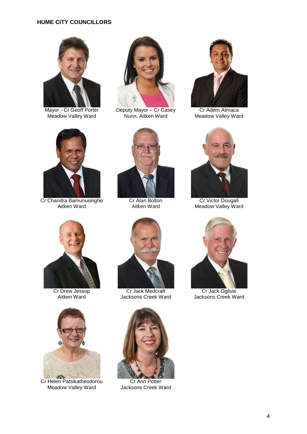## **HUME CITY COUNCILLORS**



Mayor - Cr Geoff Porter Meadow Valley Ward

<span id="page-3-0"></span>

Deputy Mayor – Cr Casey Nunn, Aitken Ward



Cr Adem Atmaca Meadow Valley Ward



Cr Chandra Bamunusinghe Aitken Ward



Cr Alan Bolton Aitken Ward



Cr Victor Dougall Meadow Valley Ward



Cr Drew Jessop Aitken Ward



Cr Helen Patsikatheodorou Meadow Valley Ward



Cr Jack Medcraft Jacksons Creek Ward



Cr Ann Potter Jacksons Creek Ward



Cr Jack Ogilvie Jacksons Creek Ward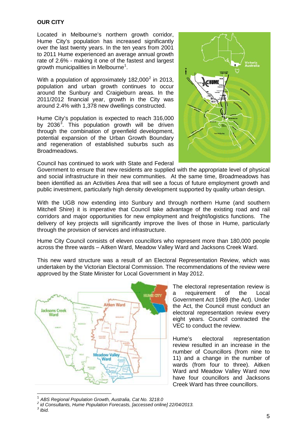#### <span id="page-4-0"></span>**OUR CITY**

Located in Melbourne's northern growth corridor, Hume City's population has increased significantly over the last twenty years. In the ten years from 2001 to 2011 Hume experienced an average annual growth rate of 2.6% - making it one of the fastest and largest growth municipalities in Melbourne<sup>[1](#page-0-0)</sup>.

With a population of approximately  $182,000^2$  $182,000^2$  $182,000^2$  in 2013, population and urban growth continues to occur around the Sunbury and Craigieburn areas. In the 2011/2012 financial year, growth in the City was around 2.4% with 1,378 new dwellings constructed.

Hume City's population is expected to reach 316,000 by 20[3](#page-4-2)6 $^3$ . This population growth will be driven through the combination of greenfield development, potential expansion of the Urban Growth Boundary and regeneration of established suburbs such as Broadmeadows.

Council has continued to work with State and Federal

Government to ensure that new residents are supplied with the appropriate level of physical and social infrastructure in their new communities. At the same time, Broadmeadows has been identified as an Activities Area that will see a focus of future employment growth and public investment, particularly high density development supported by quality urban design.

With the UGB now extending into Sunbury and through northern Hume (and southern Mitchell Shire) it is imperative that Council take advantage of the existing road and rail corridors and major opportunities for new employment and freight/logistics functions. The delivery of key projects will significantly improve the lives of those in Hume, particularly through the provision of services and infrastructure.

Hume City Council consists of eleven councillors who represent more than 180,000 people across the three wards – Aitken Ward, Meadow Valley Ward and Jacksons Creek Ward.

This new ward structure was a result of an Electoral Representation Review, which was undertaken by the Victorian Electoral Commission. The recommendations of the review were approved by the State Minister for Local Government in May 2012.



The electoral representation review is<br>a requirement of the Local a requirement of the Government Act 1989 (the Act). Under the Act, the Council must conduct an electoral representation review every eight years. Council contracted the VEC to conduct the review.

Hume's electoral representation review resulted in an increase in the number of Councillors (from nine to 11) and a change in the number of wards (from four to three). Aitken Ward and Meadow Valley Ward now have four councillors and Jacksons Creek Ward has three councillors.

<span id="page-4-3"></span>

<span id="page-4-2"></span><span id="page-4-1"></span><sup>1</sup> *ABS Regional Population Growth, Australia, Cat No. 3218.0 <sup>2</sup> id Consultants, Hume Population Forecasts, [accessed online] 22/04/2013. <sup>3</sup> Ibid.*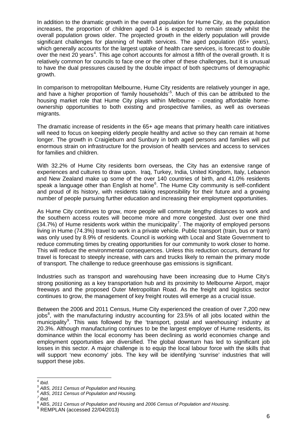In addition to the dramatic growth in the overall population for Hume City, as the population increases, the proportion of children aged 0-14 is expected to remain steady whilst the overall population grows older. The projected growth in the elderly population will provide significant challenges for planning of health services. The aged population (65+ years), which generally accounts for the largest uptake of health care services, is forecast to double over the next 20 years<sup>[4](#page-4-3)</sup>. This age cohort accounts for almost a fifth of the overall growth. It is relatively common for councils to face one or the other of these challenges, but it is unusual to have the dual pressures caused by the double impact of both spectrums of demographic growth.

In comparison to metropolitan Melbourne, Hume City residents are relatively younger in age, and have a higher proportion of 'family households'<sup>[5](#page-5-0)</sup>. Much of this can be attributed to the housing market role that Hume City plays within Melbourne - creating affordable homeownership opportunities to both existing and prospective families, as well as overseas migrants.

The dramatic increase of residents in the 65+ age means that primary health care initiatives will need to focus on keeping elderly people healthy and active so they can remain at home longer. The growth in Craigieburn and Sunbury in both aged persons and families will put enormous strain on infrastructure for the provision of health services and access to services for families and children.

With 32.2% of Hume City residents born overseas, the City has an extensive range of experiences and cultures to draw upon. Iraq, Turkey, India, United Kingdom, Italy, Lebanon and New Zealand make up some of the over 140 countries of birth, and 41.0% residents speak a language other than English at home<sup>[6](#page-5-1)</sup>. The Hume City community is self-confident and proud of its history, with residents taking responsibility for their future and a growing number of people pursuing further education and increasing their employment opportunities.

As Hume City continues to grow, more people will commute lengthy distances to work and the southern access routes will become more and more congested. Just over one third  $(34.7%)$  $(34.7%)$  $(34.7%)$  of Hume residents work within the municipality<sup>7</sup>. The majority of employed persons living in Hume (74.3%) travel to work in a private vehicle. Public transport (train, bus or tram) was only used by 8.9% of residents. Council is working with Local and State Government to reduce commuting times by creating opportunities for our community to work closer to home. This will reduce the environmental consequences. Unless this reduction occurs, demand for travel is forecast to steeply increase, with cars and trucks likely to remain the primary mode of transport. The challenge to reduce greenhouse gas emissions is significant.

Industries such as transport and warehousing have been increasing due to Hume City's strong positioning as a key transportation hub and its proximity to Melbourne Airport, major freeways and the proposed Outer Metropolitan Road. As the freight and logistics sector continues to grow, the management of key freight routes will emerge as a crucial issue.

Between the 2006 and 2011 Census, Hume City experienced the creation of over 7,200 new jobs<sup>[8](#page-5-3)</sup>, with the manufacturing industry accounting for 23.5% of all jobs located within the municipality<sup>[9](#page-5-4)</sup>. This was followed by the 'transport, postal and warehousing' industry at 20.3%. Although manufacturing continues to be the largest employer of Hume residents, its dominance within the local economy has been declining as world economies change and employment opportunities are diversified. The global downturn has led to significant job losses in this sector. A major challenge is to equip the local labour force with the skills that will support 'new economy' jobs. The key will be identifying 'sunrise' industries that will support these jobs.

<span id="page-5-2"></span><span id="page-5-1"></span>

<span id="page-5-0"></span><sup>&</sup>lt;sup>4</sup> Ibid.<br><sup>5</sup> ABS, 2011 Census of Population and Housing.<br><sup>6</sup> ABS, 2011 Census of Population and Housing.<br><sup>7</sup> Ibid.<br><sup>8</sup> ABS, 2011 Census of Population and Housing and 2006 Census of Population and Housing.<br><sup>9</sup> REMPLAN (ac

<span id="page-5-5"></span><span id="page-5-4"></span><span id="page-5-3"></span>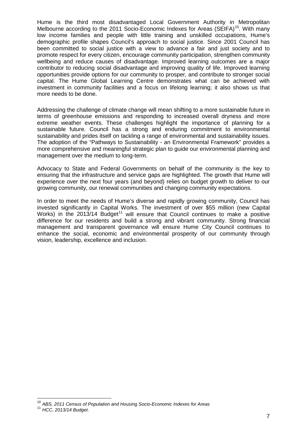Hume is the third most disadvantaged Local Government Authority in Metropolitan Melbourne according to the 2011 Socio-Economic Indexes for Areas (SEIFA)<sup>[10](#page-5-5)</sup>. With many low income families and people with little training and unskilled occupations, Hume's demographic profile shapes Council's approach to social justice. Since 2001 Council has been committed to social justice with a view to advance a fair and just society and to promote respect for every citizen, encourage community participation, strengthen community wellbeing and reduce causes of disadvantage. Improved learning outcomes are a major contributor to reducing social disadvantage and improving quality of life. Improved learning opportunities provide options for our community to prosper, and contribute to stronger social capital. The Hume Global Learning Centre demonstrates what can be achieved with investment in community facilities and a focus on lifelong learning; it also shows us that more needs to be done.

Addressing the challenge of climate change will mean shifting to a more sustainable future in terms of greenhouse emissions and responding to increased overall dryness and more extreme weather events. These challenges highlight the importance of planning for a sustainable future. Council has a strong and enduring commitment to environmental sustainability and prides itself on tackling a range of environmental and sustainability issues. The adoption of the "Pathways to Sustainability - an Environmental Framework" provides a more comprehensive and meaningful strategic plan to guide our environmental planning and management over the medium to long-term.

Advocacy to State and Federal Governments on behalf of the community is the key to ensuring that the infrastructure and service gaps are highlighted. The growth that Hume will experience over the next four years (and beyond) relies on budget growth to deliver to our growing community, our renewal communities and changing community expectations.

In order to meet the needs of Hume's diverse and rapidly growing community, Council has invested significantly in Capital Works. The investment of over \$55 million (new Capital Works) in the  $2013/14$  Budget<sup>[11](#page-6-0)</sup> will ensure that Council continues to make a positive difference for our residents and build a strong and vibrant community. Strong financial management and transparent governance will ensure Hume City Council continues to enhance the social, economic and environmental prosperity of our community through vision, leadership, excellence and inclusion.

<span id="page-6-0"></span> <sup>10</sup> *ABS, 2011 Census of Population and Housing Socio-Economic Indexes for Areas* <sup>11</sup> *HCC*, *2013/14 Budget*.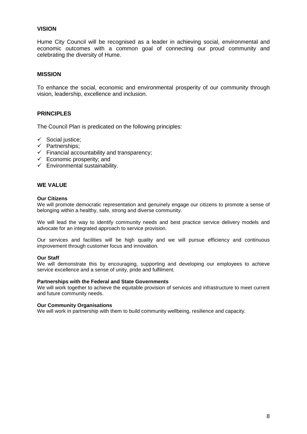#### <span id="page-7-2"></span><span id="page-7-0"></span>**VISION**

Hume City Council will be recognised as a leader in achieving social, environmental and economic outcomes with a common goal of connecting our proud community and celebrating the diversity of Hume.

#### <span id="page-7-1"></span>**MISSION**

To enhance the social, economic and environmental prosperity of our community through vision, leadership, excellence and inclusion.

#### **PRINCIPLES**

The Council Plan is predicated on the following principles:

- $\checkmark$  Social justice;
- $\checkmark$  Partnerships:
- $\checkmark$  Financial accountability and transparency;
- $\checkmark$  Economic prosperity; and
- $\checkmark$  Environmental sustainability.

#### **WE VALUE**

#### **Our Citizens**

We will promote democratic representation and genuinely engage our citizens to promote a sense of belonging within a healthy, safe, strong and diverse community.

We will lead the way to identify community needs and best practice service delivery models and advocate for an integrated approach to service provision.

Our services and facilities will be high quality and we will pursue efficiency and continuous improvement through customer focus and innovation.

#### **Our Staff**

We will demonstrate this by encouraging, supporting and developing our employees to achieve service excellence and a sense of unity, pride and fulfilment.

#### **Partnerships with the Federal and State Governments**

We will work together to achieve the equitable provision of services and infrastructure to meet current and future community needs.

#### **Our Community Organisations**

We will work in partnership with them to build community wellbeing, resilience and capacity.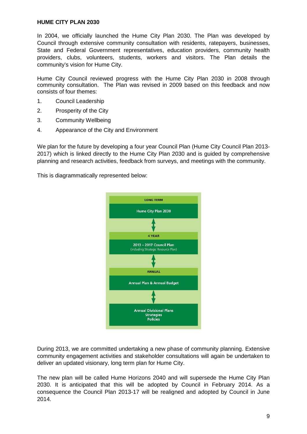#### <span id="page-8-0"></span>**HUME CITY PLAN 2030**

In 2004, we officially launched the Hume City Plan 2030. The Plan was developed by Council through extensive community consultation with residents, ratepayers, businesses, State and Federal Government representatives, education providers, community health providers, clubs, volunteers, students, workers and visitors. The Plan details the community's vision for Hume City.

Hume City Council reviewed progress with the Hume City Plan 2030 in 2008 through community consultation. The Plan was revised in 2009 based on this feedback and now consists of four themes:

- 1. Council Leadership
- 2. Prosperity of the City
- 3. Community Wellbeing
- 4. Appearance of the City and Environment

We plan for the future by developing a four year Council Plan (Hume City Council Plan 2013- 2017) which is linked directly to the Hume City Plan 2030 and is guided by comprehensive planning and research activities, feedback from surveys, and meetings with the community.

This is diagrammatically represented below:



During 2013, we are committed undertaking a new phase of community planning. Extensive community engagement activities and stakeholder consultations will again be undertaken to deliver an updated visionary, long term plan for Hume City.

The new plan will be called Hume Horizons 2040 and will supersede the Hume City Plan 2030. It is anticipated that this will be adopted by Council in February 2014. As a consequence the Council Plan 2013-17 will be realigned and adopted by Council in June 2014.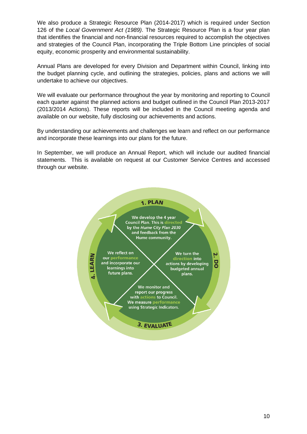We also produce a Strategic Resource Plan (2014-2017) which is required under Section 126 of the *Local Government Act (1989)*. The Strategic Resource Plan is a four year plan that identifies the financial and non-financial resources required to accomplish the objectives and strategies of the Council Plan, incorporating the Triple Bottom Line principles of social equity, economic prosperity and environmental sustainability.

Annual Plans are developed for every Division and Department within Council, linking into the budget planning cycle, and outlining the strategies, policies, plans and actions we will undertake to achieve our objectives.

We will evaluate our performance throughout the year by monitoring and reporting to Council each quarter against the planned actions and budget outlined in the Council Plan 2013-2017 (2013/2014 Actions). These reports will be included in the Council meeting agenda and available on our website, fully disclosing our achievements and actions.

By understanding our achievements and challenges we learn and reflect on our performance and incorporate these learnings into our plans for the future.

In September, we will produce an Annual Report, which will include our audited financial statements. This is available on request at our Customer Service Centres and accessed through our website.

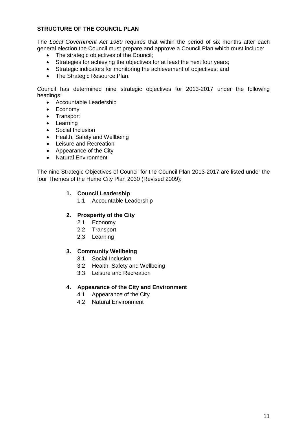# **STRUCTURE OF THE COUNCIL PLAN**

The *Local Government Act 1989* requires that within the period of six months after each general election the Council must prepare and approve a Council Plan which must include:

- <span id="page-10-0"></span>• The strategic objectives of the Council;
- Strategies for achieving the objectives for at least the next four years;
- Strategic indicators for monitoring the achievement of objectives; and
- The Strategic Resource Plan.

Council has determined nine strategic objectives for 2013-2017 under the following headings:

- Accountable Leadership
- Economy
- Transport
- Learning
- Social Inclusion
- Health, Safety and Wellbeing
- Leisure and Recreation
- Appearance of the City
- Natural Environment

The nine Strategic Objectives of Council for the Council Plan 2013-2017 are listed under the four Themes of the Hume City Plan 2030 (Revised 2009):

#### **1. Council Leadership**

1.1 Accountable Leadership

#### **2. Prosperity of the City**

- 2.1 Economy
- 2.2 Transport
- 2.3 Learning

#### **3. Community Wellbeing**

- 3.1 Social Inclusion
- 3.2 Health, Safety and Wellbeing
- 3.3 Leisure and Recreation

#### **4. Appearance of the City and Environment**

- 4.1 Appearance of the City
- 4.2 Natural Environment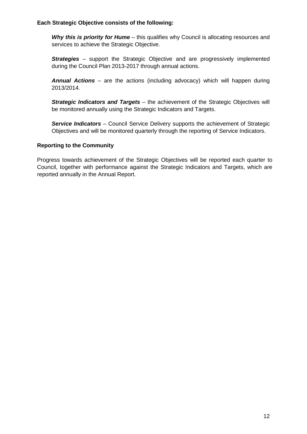#### **Each Strategic Objective consists of the following:**

*Why this is priority for Hume* – this qualifies why Council is allocating resources and services to achieve the Strategic Objective.

<span id="page-11-0"></span>**Strategies** – support the Strategic Objective and are progressively implemented during the Council Plan 2013-2017 through annual actions.

*Annual Actions* – are the actions (including advocacy) which will happen during 2013/2014.

*Strategic Indicators and Targets* – the achievement of the Strategic Objectives will be monitored annually using the Strategic Indicators and Targets.

<span id="page-11-1"></span>**Service Indicators** – Council Service Delivery supports the achievement of Strategic Objectives and will be monitored quarterly through the reporting of Service Indicators.

#### **Reporting to the Community**

Progress towards achievement of the Strategic Objectives will be reported each quarter to Council, together with performance against the Strategic Indicators and Targets, which are reported annually in the Annual Report.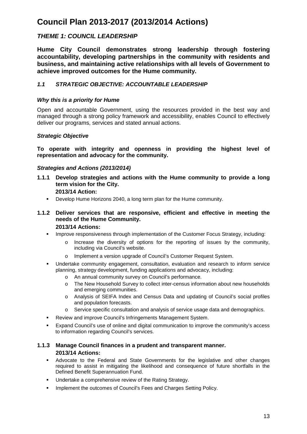# **Council Plan 2013-2017 (2013/2014 Actions)**

# <span id="page-12-0"></span>*THEME 1: COUNCIL LEADERSHIP*

**Hume City Council demonstrates strong leadership through fostering accountability, developing partnerships in the community with residents and business, and maintaining active relationships with all levels of Government to achieve improved outcomes for the Hume community.**

# <span id="page-12-1"></span>*1.1 STRATEGIC OBJECTIVE: ACCOUNTABLE LEADERSHIP*

#### *Why this is a priority for Hume*

Open and accountable Government, using the resources provided in the best way and managed through a strong policy framework and accessibility, enables Council to effectively deliver our programs, services and stated annual actions.

#### *Strategic Objective*

**To operate with integrity and openness in providing the highest level of representation and advocacy for the community.**

#### *Strategies and Actions (2013/2014)*

- **1.1.1 Develop strategies and actions with the Hume community to provide a long term vision for the City. 2013/14 Action:**
	- **-** Develop Hume Horizons 2040, a long term plan for the Hume community.

#### **1.1.2 Deliver services that are responsive, efficient and effective in meeting the needs of the Hume Community. 2013/14 Actions:**

- **IMPROVE 12 Improve responsiveness through implementation of the Customer Focus Strategy, including:** 
	- o Increase the diversity of options for the reporting of issues by the community, including via Council's website.
	- o Implement a version upgrade of Council's Customer Request System.
- Undertake community engagement, consultation, evaluation and research to inform service planning, strategy development, funding applications and advocacy, including:
	- o An annual community survey on Council's performance.
	- o The New Household Survey to collect inter-census information about new households and emerging communities.
	- o Analysis of SEIFA Index and Census Data and updating of Council's social profiles and population forecasts.
	- Service specific consultation and analysis of service usage data and demographics.
- **Review and improve Council's Infringements Management System.**
- Expand Council's use of online and digital communication to improve the community's access to information regarding Council's services.

#### **1.1.3 Manage Council finances in a prudent and transparent manner. 2013/14 Actions:**

- Advocate to the Federal and State Governments for the legislative and other changes required to assist in mitigating the likelihood and consequence of future shortfalls in the Defined Benefit Superannuation Fund.
- **Undertake a comprehensive review of the Rating Strategy.**
- Implement the outcomes of Council's Fees and Charges Setting Policy.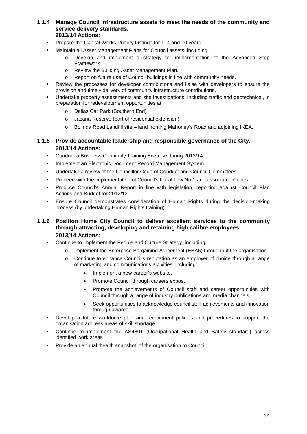#### **1.1.4 Manage Council infrastructure assets to meet the needs of the community and service delivery standards. 2013/14 Actions:**

- **Prepare the Capital Works Priority Listings for 1, 4 and 10 years.**
- Maintain all Asset Management Plans for Council assets, including:
	- Develop and implement a strategy for implementation of the Advanced Step Framework.
	- o Review the Building Asset Management Plan.
	- o Report on future use of Council buildings in line with community needs.
- Review the processes for developer contributions and liaise with developers to ensure the provision and timely delivery of community infrastructure contributions.
- Undertake property assessments and site investigations, including traffic and geotechnical, in preparation for redevelopment opportunities at:
	- o Dallas Car Park (Southern End)
	- o Jacana Reserve (part of residential extension)
	- o Bolinda Road Landfill site land fronting Mahoney's Road and adjoining IKEA.

#### **1.1.5 Provide accountable leadership and responsible governance of the City. 2013/14 Actions:**

- Conduct a Business Continuity Training Exercise during 2013/14.
- **Implement an Electronic Document Record Management System.**
- Undertake a review of the Councillor Code of Conduct and Council Committees.
- Proceed with the implementation of Council's Local Law No.1 and associated Codes.
- Produce Council's Annual Report in line with legislation, reporting against Council Plan Actions and Budget for 2012/13.
- Ensure Council demonstrates consideration of Human Rights during the decision-making process (by undertaking Human Rights training).

#### **1.1.6 Position Hume City Council to deliver excellent services to the community through attracting, developing and retaining high calibre employees. 2013/14 Actions:**

- Continue to implement the People and Culture Strategy, including:
	- Implement the Enterprise Bargaining Agreement (EBA6) throughout the organisation.
	- o Continue to enhance Council's reputation as an employer of choice through a range of marketing and communications activities, including:
		- Implement a new career's website.
		- Promote Council through careers expos.
		- Promote the achievements of Council staff and career opportunities with Council through a range of industry publications and media channels.
		- Seek opportunities to acknowledge council staff achievements and innovation through awards.
- Develop a future workforce plan and recruitment policies and procedures to support the organisation address areas of skill shortage.
- Continue to implement the AS4801 (Occupational Health and Safety standard) across identified work areas.
- Provide an annual 'health snapshot' of the organisation to Council.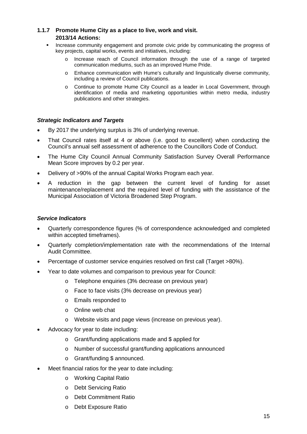# **1.1.7 Promote Hume City as a place to live, work and visit. 2013/14 Actions:**

- Increase community engagement and promote civic pride by communicating the progress of key projects, capital works, events and initiatives, including:
	- o Increase reach of Council information through the use of a range of targeted communication mediums, such as an improved Hume Pride.
	- o Enhance communication with Hume's culturally and linguistically diverse community, including a review of Council publications.
	- o Continue to promote Hume City Council as a leader in Local Government, through identification of media and marketing opportunities within metro media, industry publications and other strategies.

#### *Strategic Indicators and Targets*

- By 2017 the underlying surplus is 3% of underlying revenue.
- That Council rates itself at 4 or above (i.e. good to excellent) when conducting the Council's annual self assessment of adherence to the Councillors Code of Conduct.
- The Hume City Council Annual Community Satisfaction Survey Overall Performance Mean Score improves by 0.2 per year.
- Delivery of >90% of the annual Capital Works Program each year.
- A reduction in the gap between the current level of funding for asset maintenance/replacement and the required level of funding with the assistance of the Municipal Association of Victoria Broadened Step Program.

#### *Service Indicators*

- Quarterly correspondence figures (% of correspondence acknowledged and completed within accepted timeframes).
- Quarterly completion/implementation rate with the recommendations of the Internal Audit Committee.
- Percentage of customer service enquiries resolved on first call (Target >80%).
- Year to date volumes and comparison to previous year for Council:
	- o Telephone enquiries (3% decrease on previous year)
	- o Face to face visits (3% decrease on previous year)
	- o Emails responded to
	- o Online web chat
	- o Website visits and page views (increase on previous year).
- Advocacy for year to date including:
	- o Grant/funding applications made and \$ applied for
	- o Number of successful grant/funding applications announced
	- o Grant/funding \$ announced.
- Meet financial ratios for the year to date including:
	- o Working Capital Ratio
	- o Debt Servicing Ratio
	- o Debt Commitment Ratio
	- o Debt Exposure Ratio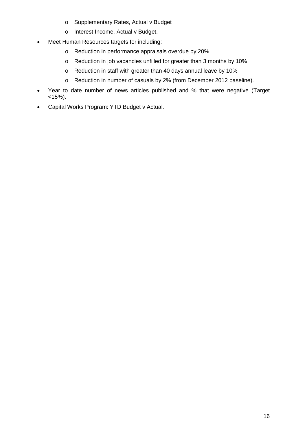- o Supplementary Rates, Actual v Budget
- o Interest Income, Actual v Budget.
- Meet Human Resources targets for including:
	- o Reduction in performance appraisals overdue by 20%
	- o Reduction in job vacancies unfilled for greater than 3 months by 10%
	- o Reduction in staff with greater than 40 days annual leave by 10%
	- o Reduction in number of casuals by 2% (from December 2012 baseline).
- Year to date number of news articles published and % that were negative (Target  $<$ 15%).
- Capital Works Program: YTD Budget v Actual.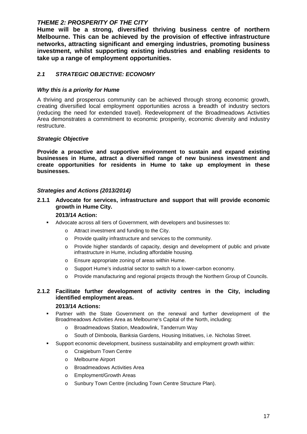# <span id="page-16-0"></span>*THEME 2: PROSPERITY OF THE CITY*

**Hume will be a strong, diversified thriving business centre of northern Melbourne. This can be achieved by the provision of effective infrastructure networks, attracting significant and emerging industries, promoting business investment, whilst supporting existing industries and enabling residents to take up a range of employment opportunities.**

# <span id="page-16-1"></span>*2.1 STRATEGIC OBJECTIVE: ECONOMY*

## *Why this is a priority for Hume*

A thriving and prosperous community can be achieved through strong economic growth, creating diversified local employment opportunities across a breadth of industry sectors (reducing the need for extended travel). Redevelopment of the Broadmeadows Activities Area demonstrates a commitment to economic prosperity, economic diversity and industry restructure.

#### *Strategic Objective*

**Provide a proactive and supportive environment to sustain and expand existing businesses in Hume, attract a diversified range of new business investment and create opportunities for residents in Hume to take up employment in these businesses.**

#### *Strategies and Actions (2013/2014)*

## **2.1.1 Advocate for services, infrastructure and support that will provide economic growth in Hume City.**

#### **2013/14 Action:**

- Advocate across all tiers of Government, with developers and businesses to:
	- o Attract investment and funding to the City.
	- o Provide quality infrastructure and services to the community.
	- o Provide higher standards of capacity, design and development of public and private infrastructure in Hume, including affordable housing.
	- o Ensure appropriate zoning of areas within Hume.
	- o Support Hume's industrial sector to switch to a lower-carbon economy.
	- o Provide manufacturing and regional projects through the Northern Group of Councils.

# **2.1.2 Facilitate further development of activity centres in the City, including identified employment areas.**

#### **2013/14 Actions:**

- Partner with the State Government on the renewal and further development of the Broadmeadows Activities Area as Melbourne's Capital of the North, including:
	- o Broadmeadows Station, Meadowlink, Tanderrum Way
	- o South of Dimboola, Banksia Gardens, Housing Initiatives, i.e. Nicholas Street.
- Support economic development, business sustainability and employment growth within:
	- o Craigieburn Town Centre
	- o Melbourne Airport
	- o Broadmeadows Activities Area
	- o Employment/Growth Areas
	- o Sunbury Town Centre (including Town Centre Structure Plan).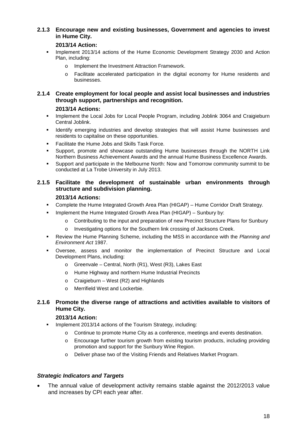#### **2.1.3 Encourage new and existing businesses, Government and agencies to invest in Hume City.**

#### **2013/14 Action:**

- Implement 2013/14 actions of the Hume Economic Development Strategy 2030 and Action Plan, including:
	- o Implement the Investment Attraction Framework.
	- o Facilitate accelerated participation in the digital economy for Hume residents and businesses.

#### **2.1.4 Create employment for local people and assist local businesses and industries through support, partnerships and recognition.**

#### **2013/14 Actions:**

- Implement the Local Jobs for Local People Program, including Joblink 3064 and Craigieburn Central Joblink.
- **IDENTIFY EMERGING IN A STARK IN A STARK IN A STARK IN A STARK IN A STARK IN A STARK IN A STARK IN STARK IN STARK IN STARK IN A STARK IN A STARK IN STARK IN STARK IN STARK IN STARK IN STARK IN STARK IN STARK IN STARK IN ST** residents to capitalise on these opportunities.
- **Facilitate the Hume Jobs and Skills Task Force.**
- Support, promote and showcase outstanding Hume businesses through the NORTH Link Northern Business Achievement Awards and the annual Hume Business Excellence Awards.
- Support and participate in the Melbourne North: Now and Tomorrow community summit to be conducted at La Trobe University in July 2013.

# **2.1.5 Facilitate the development of sustainable urban environments through structure and subdivision planning.**

#### **2013/14 Actions:**

- Complete the Hume Integrated Growth Area Plan (HIGAP) Hume Corridor Draft Strategy.
- $\blacksquare$  Implement the Hume Integrated Growth Area Plan (HIGAP) Sunbury by:
	- o Contributing to the input and preparation of new Precinct Structure Plans for Sunbury
	- o Investigating options for the Southern link crossing of Jacksons Creek.
- Review the Hume Planning Scheme, including the MSS in accordance with the *Planning and Environment Act* 1987.
- Oversee, assess and monitor the implementation of Precinct Structure and Local Development Plans, including:
	- o Greenvale Central, North (R1), West (R3), Lakes East
	- o Hume Highway and northern Hume Industrial Precincts
	- $\circ$  Craigieburn West (R2) and Highlands
	- o Merrifield West and Lockerbie.

#### **2.1.6 Promote the diverse range of attractions and activities available to visitors of Hume City.**

## **2013/14 Action:**

- Implement 2013/14 actions of the Tourism Strategy, including:
	- o Continue to promote Hume City as a conference, meetings and events destination.
	- o Encourage further tourism growth from existing tourism products, including providing promotion and support for the Sunbury Wine Region.
	- o Deliver phase two of the Visiting Friends and Relatives Market Program.

#### *Strategic Indicators and Targets*

The annual value of development activity remains stable against the 2012/2013 value and increases by CPI each year after.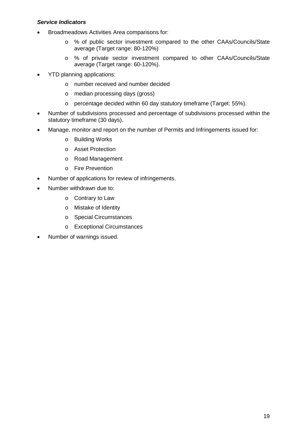#### *Service Indicators*

- Broadmeadows Activities Area comparisons for:
	- o % of public sector investment compared to the other CAAs/Councils/State average (Target range: 80-120%)
	- o % of private sector investment compared to other CAAs/Councils/State average (Target range: 60-120%).
- YTD planning applications:
	- o number received and number decided
	- o median processing days (gross)
	- o percentage decided within 60 day statutory timeframe (Target: 55%).
- Number of subdivisions processed and percentage of subdivisions processed within the statutory timeframe (30 days).
- Manage, monitor and report on the number of Permits and Infringements issued for:
	- o Building Works
	- o Asset Protection
	- o Road Management
	- o Fire Prevention
- Number of applications for review of infringements.
- Number withdrawn due to:
	- o Contrary to Law
	- o Mistake of Identity
	- o Special Circumstances
	- o Exceptional Circumstances
- Number of warnings issued.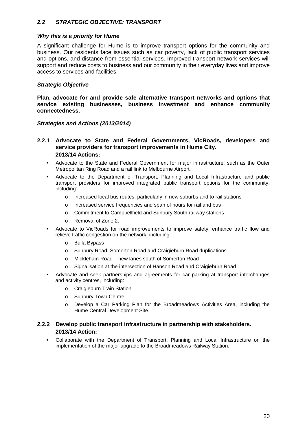#### <span id="page-19-0"></span>*2.2 STRATEGIC OBJECTIVE: TRANSPORT*

#### *Why this is a priority for Hume*

A significant challenge for Hume is to improve transport options for the community and business. Our residents face issues such as car poverty, lack of public transport services and options, and distance from essential services. Improved transport network services will support and reduce costs to business and our community in their everyday lives and improve access to services and facilities.

#### *Strategic Objective*

**Plan, advocate for and provide safe alternative transport networks and options that service existing businesses, business investment and enhance community connectedness.**

#### *Strategies and Actions (2013/2014)*

#### **2.2.1 Advocate to State and Federal Governments, VicRoads, developers and service providers for transport improvements in Hume City. 2013/14 Actions:**

- Advocate to the State and Federal Government for major infrastructure, such as the Outer Metropolitan Ring Road and a rail link to Melbourne Airport.
- Advocate to the Department of Transport, Planning and Local Infrastructure and public transport providers for improved integrated public transport options for the community, including:
	- o Increased local bus routes, particularly in new suburbs and to rail stations
	- o Increased service frequencies and span of hours for rail and bus
	- o Commitment to Campbellfield and Sunbury South railway stations
	- o Removal of Zone 2.
- Advocate to VicRoads for road improvements to improve safety, enhance traffic flow and relieve traffic congestion on the network, including:
	- o Bulla Bypass
	- o Sunbury Road, Somerton Road and Craigieburn Road duplications
	- Mickleham Road new lanes south of Somerton Road
	- o Signalisation at the intersection of Hanson Road and Craigieburn Road.
- Advocate and seek partnerships and agreements for car parking at transport interchanges and activity centres, including:
	- o Craigieburn Train Station
	- o Sunbury Town Centre
	- o Develop a Car Parking Plan for the Broadmeadows Activities Area, including the Hume Central Development Site.

#### **2.2.2 Develop public transport infrastructure in partnership with stakeholders. 2013/14 Action:**

 Collaborate with the Department of Transport, Planning and Local Infrastructure on the implementation of the major upgrade to the Broadmeadows Railway Station.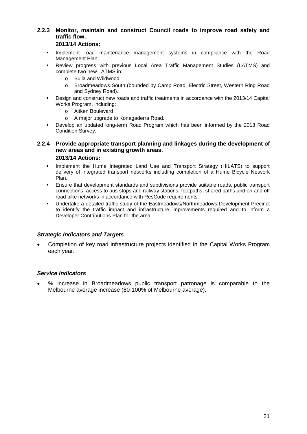# **2.2.3 Monitor, maintain and construct Council roads to improve road safety and traffic flow.**

#### **2013/14 Actions:**

- **Implement road maintenance management systems in compliance with the Road** Management Plan.
- Review progress with previous Local Area Traffic Management Studies (LATMS) and complete two new LATMS in:
	- o Bulla and Wildwood
	- o Broadmeadows South (bounded by Camp Road, Electric Street, Western Ring Road and Sydney Road).
- Design and construct new roads and traffic treatments in accordance with the 2013/14 Capital Works Program, including:
	- o Aitken Boulevard
	- o A major upgrade to Konagaderra Road.
- Develop an updated long-term Road Program which has been informed by the 2013 Road Condition Survey.

#### **2.2.4 Provide appropriate transport planning and linkages during the development of new areas and in existing growth areas. 2013/14 Actions:**

- **Implement the Hume Integrated Land Use and Transport Strategy (HILATS) to support** delivery of integrated transport networks including completion of a Hume Bicycle Network Plan.
- Ensure that development standards and subdivisions provide suitable roads, public transport connections, access to bus stops and railway stations, footpaths, shared paths and on and off road bike networks in accordance with ResCode requirements.
- Undertake a detailed traffic study of the Eastmeadows/Northmeadows Development Precinct to identify the traffic impact and infrastructure improvements required and to inform a Developer Contributions Plan for the area.

#### *Strategic Indicators and Targets*

• Completion of key road infrastructure projects identified in the Capital Works Program each year.

#### *Service Indicators*

• % increase in Broadmeadows public transport patronage is comparable to the Melbourne average increase (80-100% of Melbourne average).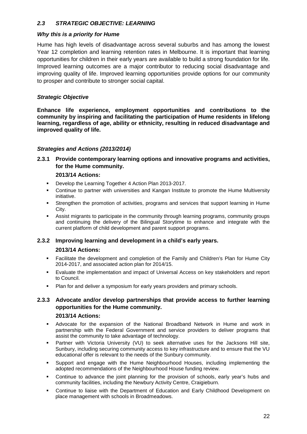# <span id="page-21-0"></span>*2.3 STRATEGIC OBJECTIVE: LEARNING*

#### *Why this is a priority for Hume*

Hume has high levels of disadvantage across several suburbs and has among the lowest Year 12 completion and learning retention rates in Melbourne. It is important that learning opportunities for children in their early years are available to build a strong foundation for life. Improved learning outcomes are a major contributor to reducing social disadvantage and improving quality of life. Improved learning opportunities provide options for our community to prosper and contribute to stronger social capital.

# *Strategic Objective*

**Enhance life experience, employment opportunities and contributions to the community by inspiring and facilitating the participation of Hume residents in lifelong learning, regardless of age, ability or ethnicity, resulting in reduced disadvantage and improved quality of life.**

# *Strategies and Actions (2013/2014)*

**2.3.1 Provide contemporary learning options and innovative programs and activities, for the Hume community.**

#### **2013/14 Actions:**

- **Develop the Learning Together 4 Action Plan 2013-2017.**
- Continue to partner with universities and Kangan Institute to promote the Hume Multiversity initiative.
- Strengthen the promotion of activities, programs and services that support learning in Hume City.
- Assist migrants to participate in the community through learning programs, community groups and continuing the delivery of the Bilingual Storytime to enhance and integrate with the current platform of child development and parent support programs.

# **2.3.2 Improving learning and development in a child's early years.**

#### **2013/14 Actions:**

- Facilitate the development and completion of the Family and Children's Plan for Hume City 2014-2017, and associated action plan for 2014/15.
- Evaluate the implementation and impact of Universal Access on key stakeholders and report to Council.
- **Plan for and deliver a symposium for early vears providers and primary schools.**

# **2.3.3 Advocate and/or develop partnerships that provide access to further learning opportunities for the Hume community.**

#### **2013/14 Actions:**

- Advocate for the expansion of the National Broadband Network in Hume and work in partnership with the Federal Government and service providers to deliver programs that assist the community to take advantage of technology.
- Partner with Victoria University (VU) to seek alternative uses for the Jacksons Hill site, Sunbury, including securing community access to key infrastructure and to ensure that the VU educational offer is relevant to the needs of the Sunbury community.
- Support and engage with the Hume Neighbourhood Houses, including implementing the adopted recommendations of the Neighbourhood House funding review.
- Continue to advance the joint planning for the provision of schools, early year's hubs and community facilities, including the Newbury Activity Centre, Craigieburn.
- Continue to liaise with the Department of Education and Early Childhood Development on place management with schools in Broadmeadows.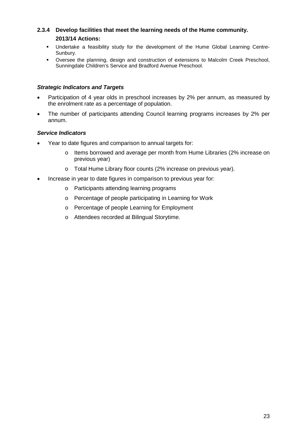# **2.3.4 Develop facilities that meet the learning needs of the Hume community. 2013/14 Actions:**

- Undertake a feasibility study for the development of the Hume Global Learning Centre-Sunbury.
- Oversee the planning, design and construction of extensions to Malcolm Creek Preschool, Sunningdale Children's Service and Bradford Avenue Preschool.

#### *Strategic Indicators and Targets*

- Participation of 4 year olds in preschool increases by 2% per annum, as measured by the enrolment rate as a percentage of population.
- The number of participants attending Council learning programs increases by 2% per annum.

# *Service Indicators*

- Year to date figures and comparison to annual targets for:
	- o Items borrowed and average per month from Hume Libraries (2% increase on previous year)
	- o Total Hume Library floor counts (2% increase on previous year).
- Increase in year to date figures in comparison to previous year for:
	- o Participants attending learning programs
	- o Percentage of people participating in Learning for Work
	- o Percentage of people Learning for Employment
	- o Attendees recorded at Bilingual Storytime.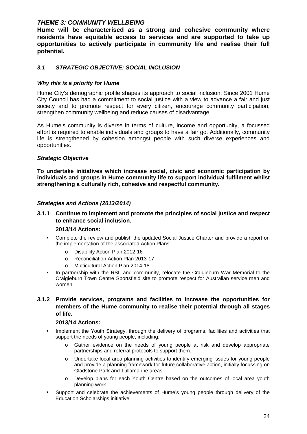# <span id="page-23-0"></span>*THEME 3: COMMUNITY WELLBEING*

**Hume will be characterised as a strong and cohesive community where residents have equitable access to services and are supported to take up opportunities to actively participate in community life and realise their full potential.**

# <span id="page-23-1"></span>*3.1 STRATEGIC OBJECTIVE: SOCIAL INCLUSION*

#### *Why this is a priority for Hume*

Hume City's demographic profile shapes its approach to social inclusion. Since 2001 Hume City Council has had a commitment to social justice with a view to advance a fair and just society and to promote respect for every citizen, encourage community participation, strengthen community wellbeing and reduce causes of disadvantage.

As Hume's community is diverse in terms of culture, income and opportunity, a focussed effort is required to enable individuals and groups to have a fair go. Additionally, community life is strengthened by cohesion amongst people with such diverse experiences and opportunities.

#### *Strategic Objective*

**To undertake initiatives which increase social, civic and economic participation by individuals and groups in Hume community life to support individual fulfilment whilst strengthening a culturally rich, cohesive and respectful community.**

#### *Strategies and Actions (2013/2014)*

#### **3.1.1 Continue to implement and promote the principles of social justice and respect to enhance social inclusion.**

#### **2013/14 Actions:**

- Complete the review and publish the updated Social Justice Charter and provide a report on the implementation of the associated Action Plans:
	- o Disability Action Plan 2012-16
	- o Reconciliation Action Plan 2013-17
	- Multicultural Action Plan 2014-18.
- In partnership with the RSL and community, relocate the Craigieburn War Memorial to the Craigieburn Town Centre Sportsfield site to promote respect for Australian service men and women.
- **3.1.2 Provide services, programs and facilities to increase the opportunities for members of the Hume community to realise their potential through all stages of life.**

#### **2013/14 Actions:**

- **IMPLEMENT IMPLEMENT IMPLEM** Implement the Youth Strategy, through the delivery of programs, facilities and activities that support the needs of young people, including:
	- o Gather evidence on the needs of young people at risk and develop appropriate partnerships and referral protocols to support them.
	- o Undertake local area planning activities to identify emerging issues for young people and provide a planning framework for future collaborative action, initially focussing on Gladstone Park and Tullamarine areas.
	- o Develop plans for each Youth Centre based on the outcomes of local area youth planning work.
- Support and celebrate the achievements of Hume's young people through delivery of the Education Scholarships initiative.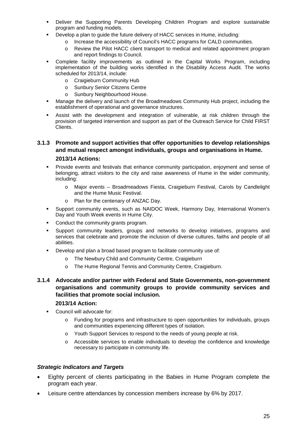- Deliver the Supporting Parents Developing Children Program and explore sustainable program and funding models.
	- Develop a plan to guide the future delivery of HACC services in Hume, including:
		- Increase the accessibility of Council's HACC programs for CALD communities.
		- o Review the Pilot HACC client transport to medical and related appointment program and report findings to Council.
- Complete facility improvements as outlined in the Capital Works Program, including implementation of the building works identified in the Disability Access Audit. The works scheduled for 2013/14, include:
	- o Craigieburn Community Hub
	- o Sunbury Senior Citizens Centre
	- o Sunbury Neighbourhood House.
- Manage the delivery and launch of the Broadmeadows Community Hub project, including the establishment of operational and governance structures.
- Assist with the development and integration of vulnerable, at risk children through the provision of targeted intervention and support as part of the Outreach Service for Child FIRST Clients.

## **3.1.3 Promote and support activities that offer opportunities to develop relationships and mutual respect amongst individuals, groups and organisations in Hume.**

#### **2013/14 Actions:**

- Provide events and festivals that enhance community participation, enjoyment and sense of belonging, attract visitors to the city and raise awareness of Hume in the wider community, including:
	- o Major events Broadmeadows Fiesta, Craigieburn Festival, Carols by Candlelight and the Hume Music Festival.
	- o Plan for the centenary of ANZAC Day.
- Support community events, such as NAIDOC Week, Harmony Day, International Women's Day and Youth Week events in Hume City.
- Conduct the community grants program.
- Support community leaders, groups and networks to develop initiatives, programs and services that celebrate and promote the inclusion of diverse cultures, faiths and people of all abilities.
- Develop and plan a broad based program to facilitate community use of:
	- o The Newbury Child and Community Centre, Craigieburn
	- o The Hume Regional Tennis and Community Centre, Craigieburn.
- **3.1.4 Advocate and/or partner with Federal and State Governments, non-government organisations and community groups to provide community services and facilities that promote social inclusion.**

#### **2013/14 Action:**

- Council will advocate for:
	- o Funding for programs and infrastructure to open opportunities for individuals, groups and communities experiencing different types of isolation.
	- o Youth Support Services to respond to the needs of young people at risk.
	- o Accessible services to enable individuals to develop the confidence and knowledge necessary to participate in community life.

#### *Strategic Indicators and Targets*

- Eighty percent of clients participating in the Babies in Hume Program complete the program each year.
- Leisure centre attendances by concession members increase by 6% by 2017.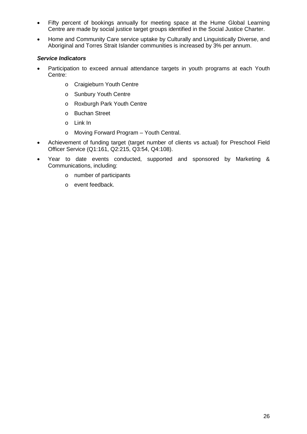- Fifty percent of bookings annually for meeting space at the Hume Global Learning Centre are made by social justice target groups identified in the Social Justice Charter.
- Home and Community Care service uptake by Culturally and Linguistically Diverse, and Aboriginal and Torres Strait Islander communities is increased by 3% per annum.

# *Service Indicators*

- Participation to exceed annual attendance targets in youth programs at each Youth Centre:
	- o Craigieburn Youth Centre
	- o Sunbury Youth Centre
	- o Roxburgh Park Youth Centre
	- o Buchan Street
	- o Link In
	- o Moving Forward Program Youth Central.
- Achievement of funding target (target number of clients vs actual) for Preschool Field Officer Service (Q1:161, Q2:215, Q3:54, Q4:108).
- Year to date events conducted, supported and sponsored by Marketing & Communications, including:
	- o number of participants
	- o event feedback.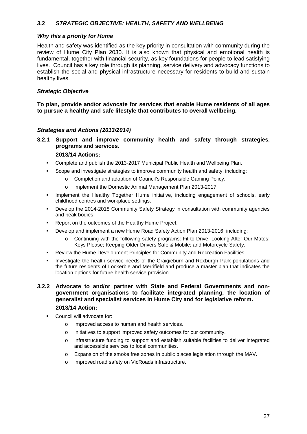# <span id="page-26-0"></span>**3.2** *STRATEGIC OBJECTIVE: HEALTH, SAFETY AND WELLBEING*

#### *Why this a priority for Hume*

Health and safety was identified as the key priority in consultation with community during the review of Hume City Plan 2030. It is also known that physical and emotional health is fundamental, together with financial security, as key foundations for people to lead satisfying lives. Council has a key role through its planning, service delivery and advocacy functions to establish the social and physical infrastructure necessary for residents to build and sustain healthy lives.

#### *Strategic Objective*

**To plan, provide and/or advocate for services that enable Hume residents of all ages to pursue a healthy and safe lifestyle that contributes to overall wellbeing.**

#### *Strategies and Actions (2013/2014)*

**3.2.1 Support and improve community health and safety through strategies, programs and services.**

## **2013/14 Actions:**

- Complete and publish the 2013-2017 Municipal Public Health and Wellbeing Plan.
	- Scope and investigate strategies to improve community health and safety, including:
		- o Completion and adoption of Council's Responsible Gaming Policy.
		- o Implement the Domestic Animal Management Plan 2013-2017.
- **Implement the Healthy Together Hume initiative, including engagement of schools, early** childhood centres and workplace settings.
- Develop the 2014-2018 Community Safety Strategy in consultation with community agencies and peak bodies.
- **Report on the outcomes of the Healthy Hume Project.**
- Develop and implement a new Hume Road Safety Action Plan 2013-2016, including:
	- o Continuing with the following safety programs: Fit to Drive; Looking After Our Mates; Keys Please; Keeping Older Drivers Safe & Mobile; and Motorcycle Safety.
- Review the Hume Development Principles for Community and Recreation Facilities.
- Investigate the health service needs of the Craigieburn and Roxburgh Park populations and the future residents of Lockerbie and Merrifield and produce a master plan that indicates the location options for future health service provision.

**3.2.2 Advocate to and/or partner with State and Federal Governments and nongovernment organisations to facilitate integrated planning, the location of generalist and specialist services in Hume City and for legislative reform. 2013/14 Action:**

- Council will advocate for:
	- o Improved access to human and health services.
	- o Initiatives to support improved safety outcomes for our community.
	- o Infrastructure funding to support and establish suitable facilities to deliver integrated and accessible services to local communities.
	- o Expansion of the smoke free zones in public places legislation through the MAV.
	- o Improved road safety on VicRoads infrastructure.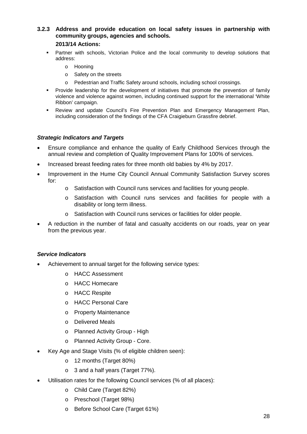# **3.2.3 Address and provide education on local safety issues in partnership with community groups, agencies and schools.**

#### **2013/14 Actions:**

- Partner with schools, Victorian Police and the local community to develop solutions that address:
	- o Hooning
	- o Safety on the streets
	- o Pedestrian and Traffic Safety around schools, including school crossings.
- **Provide leadership for the development of initiatives that promote the prevention of family** violence and violence against women, including continued support for the international 'White Ribbon' campaign.
- Review and update Council's Fire Prevention Plan and Emergency Management Plan, including consideration of the findings of the CFA Craigieburn Grassfire debrief.

#### *Strategic Indicators and Targets*

- Ensure compliance and enhance the quality of Early Childhood Services through the annual review and completion of Quality Improvement Plans for 100% of services.
- Increased breast feeding rates for three month old babies by 4% by 2017.
- Improvement in the Hume City Council Annual Community Satisfaction Survey scores for:
	- o Satisfaction with Council runs services and facilities for young people.
	- o Satisfaction with Council runs services and facilities for people with a disability or long term illness.
	- o Satisfaction with Council runs services or facilities for older people.
- A reduction in the number of fatal and casualty accidents on our roads, year on year from the previous year.

# *Service Indicators*

- Achievement to annual target for the following service types:
	- o HACC Assessment
	- o HACC Homecare
	- o HACC Respite
	- o HACC Personal Care
	- o Property Maintenance
	- o Delivered Meals
	- o Planned Activity Group High
	- o Planned Activity Group Core.
- Key Age and Stage Visits (% of eligible children seen):
	- o 12 months (Target 80%)
	- o 3 and a half years (Target 77%).
- Utilisation rates for the following Council services (% of all places):
	- o Child Care (Target 82%)
	- o Preschool (Target 98%)
	- o Before School Care (Target 61%)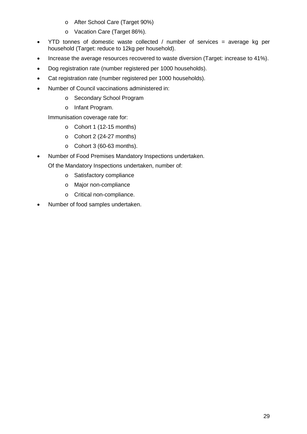- o After School Care (Target 90%)
- o Vacation Care (Target 86%).
- YTD tonnes of domestic waste collected / number of services = average kg per household (Target: reduce to 12kg per household).
- Increase the average resources recovered to waste diversion (Target: increase to 41%).
- Dog registration rate (number registered per 1000 households).
- Cat registration rate (number registered per 1000 households).
- Number of Council vaccinations administered in:
	- o Secondary School Program
	- o Infant Program.

Immunisation coverage rate for:

- o Cohort 1 (12-15 months)
- o Cohort 2 (24-27 months)
- o Cohort 3 (60-63 months).
- Number of Food Premises Mandatory Inspections undertaken.

Of the Mandatory Inspections undertaken, number of:

- o Satisfactory compliance
- o Major non-compliance
- o Critical non-compliance.
- Number of food samples undertaken.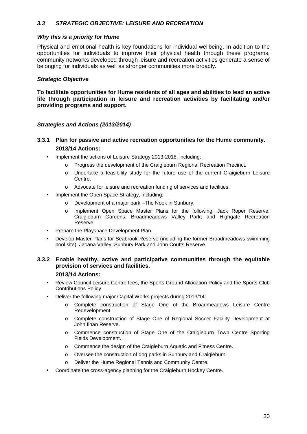## <span id="page-29-0"></span>*3.3 STRATEGIC OBJECTIVE: LEISURE AND RECREATION*

#### *Why this is a priority for Hume*

Physical and emotional health is key foundations for individual wellbeing. In addition to the opportunities for individuals to improve their physical health through these programs, community networks developed through leisure and recreation activities generate a sense of belonging for individuals as well as stronger communities more broadly.

#### *Strategic Objective*

**To facilitate opportunities for Hume residents of all ages and abilities to lead an active life through participation in leisure and recreation activities by facilitating and/or providing programs and support.**

#### *Strategies and Actions (2013/2014)*

# **3.3.1 Plan for passive and active recreation opportunities for the Hume community. 2013/14 Actions:**

- **IMPLEMENTE:** Implement the actions of Leisure Strategy 2013-2018, including:
	- Progress the development of the Craigieburn Regional Recreation Precinct.
	- o Undertake a feasibility study for the future use of the current Craigieburn Leisure Centre.
	- o Advocate for leisure and recreation funding of services and facilities.
- **Implement the Open Space Strategy, including:** 
	- Development of a major park –The Nook in Sunbury.
	- o Implement Open Space Master Plans for the following: Jack Roper Reserve; Craigieburn Gardens; Broadmeadows Valley Park; and Highgate Recreation Reserve.
- **Prepare the Playspace Development Plan.**
- Develop Master Plans for Seabrook Reserve (including the former Broadmeadows swimming pool site), Jacana Valley, Sunbury Park and John Coutts Reserve.

#### **3.3.2 Enable healthy, active and participative communities through the equitable provision of services and facilities.**

#### **2013/14 Actions:**

- Review Council Leisure Centre fees, the Sports Ground Allocation Policy and the Sports Club Contributions Policy.
- Deliver the following major Capital Works projects during 2013/14:
	- o Complete construction of Stage One of the Broadmeadows Leisure Centre Redevelopment.
	- o Complete construction of Stage One of Regional Soccer Facility Development at John Ilhan Reserve.
	- o Commence construction of Stage One of the Craigieburn Town Centre Sporting Fields Development.
	- o Commence the design of the Craigieburn Aquatic and Fitness Centre.
	- o Oversee the construction of dog parks in Sunbury and Craigieburn.
	- o Deliver the Hume Regional Tennis and Community Centre.
- Coordinate the cross-agency planning for the Craigieburn Hockey Centre.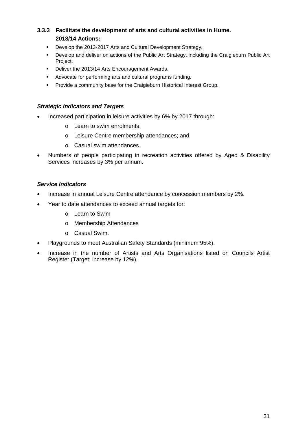# **3.3.3 Facilitate the development of arts and cultural activities in Hume. 2013/14 Actions:**

- **-** Develop the 2013-2017 Arts and Cultural Development Strategy.
- Develop and deliver on actions of the Public Art Strategy, including the Craigieburn Public Art Project.
- Deliver the 2013/14 Arts Encouragement Awards.
- Advocate for performing arts and cultural programs funding.
- **Provide a community base for the Craigieburn Historical Interest Group.**

#### *Strategic Indicators and Targets*

- Increased participation in leisure activities by 6% by 2017 through:
	- o Learn to swim enrolments;
	- o Leisure Centre membership attendances; and
	- o Casual swim attendances.
- Numbers of people participating in recreation activities offered by Aged & Disability Services increases by 3% per annum.

#### *Service Indicators*

- Increase in annual Leisure Centre attendance by concession members by 2%.
- Year to date attendances to exceed annual targets for:
	- o Learn to Swim
	- o Membership Attendances
	- o Casual Swim.
- Playgrounds to meet Australian Safety Standards (minimum 95%).
- Increase in the number of Artists and Arts Organisations listed on Councils Artist Register (Target: increase by 12%).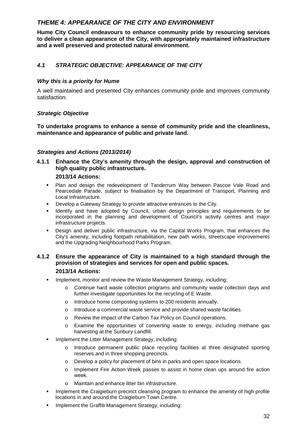# <span id="page-31-0"></span>*THEME 4: APPEARANCE OF THE CITY AND ENVIRONMENT*

**Hume City Council endeavours to enhance community pride by resourcing services to deliver a clean appearance of the City, with appropriately maintained infrastructure and a well preserved and protected natural environment.**

# <span id="page-31-1"></span>*4.1 STRATEGIC OBJECTIVE: APPEARANCE OF THE CITY*

#### *Why this is a priority for Hume*

A well maintained and presented City enhances community pride and improves community satisfaction.

#### *Strategic Objective*

**To undertake programs to enhance a sense of community pride and the cleanliness, maintenance and appearance of public and private land.**

#### *Strategies and Actions (2013/2014)*

#### **4.1.1 Enhance the City's amenity through the design, approval and construction of high quality public infrastructure.**

#### **2013/14 Actions:**

- Plan and design the redevelopment of Tanderrum Way between Pascoe Vale Road and Pearcedale Parade, subject to finalisation by the Department of Transport, Planning and Local Infrastructure.
- Develop a Gateway Strategy to provide attractive entrances to the City.
- Identify and have adopted by Council, urban design principles and requirements to be incorporated in the planning and development of Council's activity centres and major infrastructure projects.
- **Design and deliver public infrastructure, via the Capital Works Program, that enhances the** City's amenity, including footpath rehabilitation, new path works, streetscape improvements and the Upgrading Neighbourhood Parks Program.

# **4.1.2 Ensure the appearance of City is maintained to a high standard through the provision of strategies and services for open and public spaces.**

#### **2013/14 Actions:**

- **IMPLEM** Implement, monitor and review the Waste Management Strategy, including:
	- Continue hard waste collection programs and community waste collection days and further investigate opportunities for the recycling of E Waste.
	- o Introduce home composting systems to 200 residents annually.
	- o Introduce a commercial waste service and provide shared waste facilities.
	- o Review the impact of the Carbon Tax Policy on Council operations.
	- o Examine the opportunities of converting waste to energy, including methane gas harvesting at the Sunbury Landfill.
- **IMPLEMENT IMPLEMENT IN Litter Management Strategy, including:** 
	- o Introduce permanent public place recycling facilities at three designated sporting reserves and in three shopping precincts.
	- o Develop a policy for placement of bins in parks and open space locations.
	- o Implement Fire Action Week passes to assist in home clean ups around fire action week.
	- o Maintain and enhance litter bin infrastructure.
- Implement the Craigieburn precinct cleansing program to enhance the amenity of high profile locations in and around the Craigieburn Town Centre.
- Implement the Graffiti Management Strategy, including: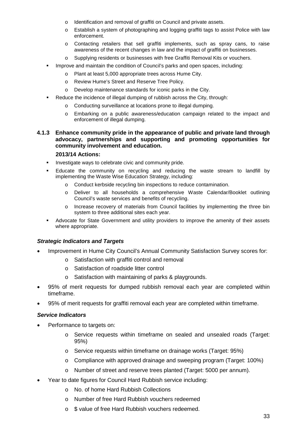- o Identification and removal of graffiti on Council and private assets.
- o Establish a system of photographing and logging graffiti tags to assist Police with law enforcement.
- o Contacting retailers that sell graffiti implements, such as spray cans, to raise awareness of the recent changes in law and the impact of graffiti on businesses.
- Supplying residents or businesses with free Graffiti Removal Kits or vouchers.
- **IMPROVE and maintain the condition of Council's parks and open spaces, including:** 
	- o Plant at least 5,000 appropriate trees across Hume City.
	- o Review Hume's Street and Reserve Tree Policy.
	- o Develop maintenance standards for iconic parks in the City.
	- Reduce the incidence of illegal dumping of rubbish across the City, through:
		- o Conducting surveillance at locations prone to illegal dumping.
		- o Embarking on a public awareness/education campaign related to the impact and enforcement of illegal dumping.

#### **4.1.3 Enhance community pride in the appearance of public and private land through advocacy, partnerships and supporting and promoting opportunities for community involvement and education.**

#### **2013/14 Actions:**

- **Investigate ways to celebrate civic and community pride.**
- Educate the community on recycling and reducing the waste stream to landfill by implementing the Waste Wise Education Strategy, including:
	- o Conduct kerbside recycling bin inspections to reduce contamination.
	- o Deliver to all households a comprehensive Waste Calendar/Booklet outlining Council's waste services and benefits of recycling.
	- o Increase recovery of materials from Council facilities by implementing the three bin system to three additional sites each year.
- Advocate for State Government and utility providers to improve the amenity of their assets where appropriate.

#### *Strategic Indicators and Targets*

- Improvement in Hume City Council's Annual Community Satisfaction Survey scores for:
	- o Satisfaction with graffiti control and removal
	- o Satisfaction of roadside litter control
	- Satisfaction with maintaining of parks & playgrounds.
- 95% of merit requests for dumped rubbish removal each year are completed within timeframe.
- 95% of merit requests for graffiti removal each year are completed within timeframe.

#### *Service Indicators*

- Performance to targets on:
	- o Service requests within timeframe on sealed and unsealed roads (Target: 95%)
	- o Service requests within timeframe on drainage works (Target: 95%)
	- o Compliance with approved drainage and sweeping program (Target: 100%)
	- o Number of street and reserve trees planted (Target: 5000 per annum).
- Year to date figures for Council Hard Rubbish service including:
	- o No. of home Hard Rubbish Collections
	- o Number of free Hard Rubbish vouchers redeemed
	- o \$ value of free Hard Rubbish vouchers redeemed.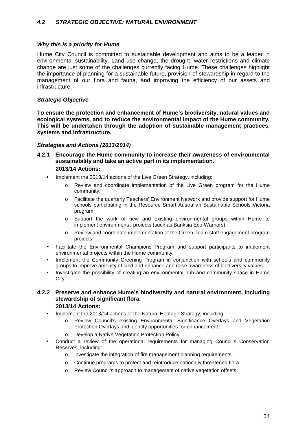#### <span id="page-33-0"></span>*4.2 STRATEGIC OBJECTIVE: NATURAL ENVIRONMENT*

#### *Why this is a priority for Hume*

Hume City Council is committed to sustainable development and aims to be a leader in environmental sustainability. Land use change, the drought, water restrictions and climate change are just some of the challenges currently facing Hume. These challenges highlight the importance of planning for a sustainable future, provision of stewardship in regard to the management of our flora and fauna, and improving the efficiency of our assets and infrastructure.

#### *Strategic Objective*

**To ensure the protection and enhancement of Hume's biodiversity, natural values and ecological systems, and to reduce the environmental impact of the Hume community. This will be undertaken through the adoption of sustainable management practices, systems and infrastructure.**

#### *Strategies and Actions (2013/2014)*

- **4.2.1 Encourage the Hume community to increase their awareness of environmental sustainability and take an active part in its implementation. 2013/14 Actions:**
	- **IMPLEMENT IMMORY 12013/14 actions of the Live Green Strategy, including:** 
		- o Review and coordinate implementation of the Live Green program for the Hume community.
		- o Facilitate the quarterly Teachers' Environment Network and provide support for Hume schools participating in the Resource Smart Australian Sustainable Schools Victoria program.
		- o Support the work of new and existing environmental groups within Hume to implement environmental projects (such as Banksia Eco-Warriors).
		- o Review and coordinate implementation of the Green Team staff engagement program projects.
	- Facilitate the Environmental Champions Program and support participants to implement environmental projects within the Hume community.
	- **Implement the Community Greening Program in conjunction with schools and community** groups to improve amenity of land and enhance and raise awareness of biodiversity values.
	- Investigate the possibility of creating an environmental hub and community space in Hume City.
- **4.2.2 Preserve and enhance Hume's biodiversity and natural environment, including stewardship of significant flora. 2013/14 Actions:**
	- **IMPLEMENT IMPLEM** 1013/14 actions of the Natural Heritage Strategy, including:
		- Review Council's existing Environmental Significance Overlays and Vegetation Protection Overlays and identify opportunities for enhancement.
		- o Develop a Native Vegetation Protection Policy.
	- Conduct a review of the operational requirements for managing Council's Conservation Reserves, including:
		- o Investigate the integration of fire management planning requirements.
		- o Continue programs to protect and reintroduce nationally threatened flora.
		- o Review Council's approach to management of native vegetation offsets.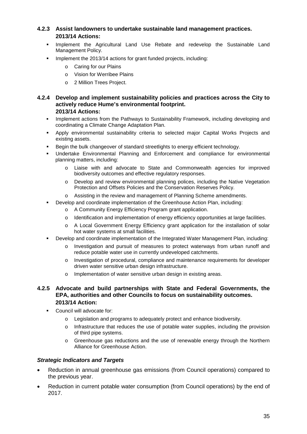# **4.2.3 Assist landowners to undertake sustainable land management practices. 2013/14 Actions:**

- **Implement the Agricultural Land Use Rebate and redevelop the Sustainable Land** Management Policy.
- **IMPLEMENT INCOLLET 1013/14 actions for grant funded projects, including:** 
	- o Caring for our Plains
	- o Vision for Werribee Plains
	- o 2 Million Trees Project.

#### **4.2.4 Develop and implement sustainability policies and practices across the City to actively reduce Hume's environmental footprint. 2013/14 Actions:**

- **IMPLEMENT Actions from the Pathways to Sustainability Framework, including developing and** coordinating a Climate Change Adaptation Plan.
- Apply environmental sustainability criteria to selected major Capital Works Projects and existing assets.
- Begin the bulk changeover of standard streetlights to energy efficient technology.
- Undertake Environmental Planning and Enforcement and compliance for environmental planning matters, including:
	- o Liaise with and advocate to State and Commonwealth agencies for improved biodiversity outcomes and effective regulatory responses.
	- o Develop and review environmental planning polices, including the Native Vegetation Protection and Offsets Policies and the Conservation Reserves Policy.
	- o Assisting in the review and management of Planning Scheme amendments.
- Develop and coordinate implementation of the Greenhouse Action Plan, including:
	- o A Community Energy Efficiency Program grant application.
	- o Identification and implementation of energy efficiency opportunities at large facilities.
	- o A Local Government Energy Efficiency grant application for the installation of solar hot water systems at small facilities.
- Develop and coordinate implementation of the Integrated Water Management Plan, including:
	- Investigation and pursuit of measures to protect waterways from urban runoff and reduce potable water use in currently undeveloped catchments.
	- o Investigation of procedural, compliance and maintenance requirements for developer driven water sensitive urban design infrastructure.
	- o Implementation of water sensitive urban design in existing areas.

#### **4.2.5 Advocate and build partnerships with State and Federal Governments, the EPA, authorities and other Councils to focus on sustainability outcomes. 2013/14 Action:**

- Council will advocate for:
	- o Legislation and programs to adequately protect and enhance biodiversity.
	- o Infrastructure that reduces the use of potable water supplies, including the provision of third pipe systems.
	- o Greenhouse gas reductions and the use of renewable energy through the Northern Alliance for Greenhouse Action.

#### *Strategic Indicators and Targets*

- Reduction in annual greenhouse gas emissions (from Council operations) compared to the previous year.
- Reduction in current potable water consumption (from Council operations) by the end of 2017.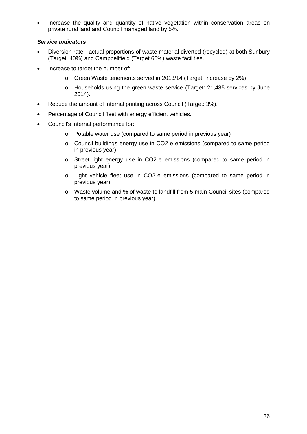• Increase the quality and quantity of native vegetation within conservation areas on private rural land and Council managed land by 5%.

# *Service Indicators*

- Diversion rate actual proportions of waste material diverted (recycled) at both Sunbury (Target: 40%) and Campbellfield (Target 65%) waste facilities.
- Increase to target the number of:
	- o Green Waste tenements served in 2013/14 (Target: increase by 2%)
	- o Households using the green waste service (Target: 21,485 services by June 2014).
- Reduce the amount of internal printing across Council (Target: 3%).
- Percentage of Council fleet with energy efficient vehicles.
- Council's internal performance for:
	- o Potable water use (compared to same period in previous year)
	- o Council buildings energy use in CO2-e emissions (compared to same period in previous year)
	- o Street light energy use in CO2-e emissions (compared to same period in previous year)
	- o Light vehicle fleet use in CO2-e emissions (compared to same period in previous year)
	- o Waste volume and % of waste to landfill from 5 main Council sites (compared to same period in previous year).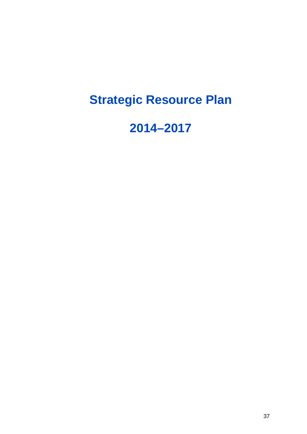# **Strategic Resource Plan**

# **2014–2017**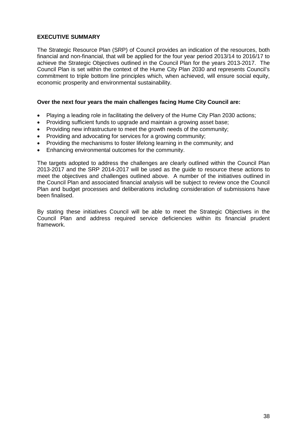## **EXECUTIVE SUMMARY**

The Strategic Resource Plan (SRP) of Council provides an indication of the resources, both financial and non-financial, that will be applied for the four year period 2013/14 to 2016/17 to achieve the Strategic Objectives outlined in the Council Plan for the years 2013-2017. The Council Plan is set within the context of the Hume City Plan 2030 and represents Council's commitment to triple bottom line principles which, when achieved, will ensure social equity, economic prosperity and environmental sustainability.

#### **Over the next four years the main challenges facing Hume City Council are:**

- Playing a leading role in facilitating the delivery of the Hume City Plan 2030 actions;
- Providing sufficient funds to upgrade and maintain a growing asset base;
- Providing new infrastructure to meet the growth needs of the community;
- Providing and advocating for services for a growing community;
- Providing the mechanisms to foster lifelong learning in the community; and
- Enhancing environmental outcomes for the community.

The targets adopted to address the challenges are clearly outlined within the Council Plan 2013-2017 and the SRP 2014-2017 will be used as the guide to resource these actions to meet the objectives and challenges outlined above. A number of the initiatives outlined in the Council Plan and associated financial analysis will be subject to review once the Council Plan and budget processes and deliberations including consideration of submissions have been finalised.

By stating these initiatives Council will be able to meet the Strategic Objectives in the Council Plan and address required service deficiencies within its financial prudent framework.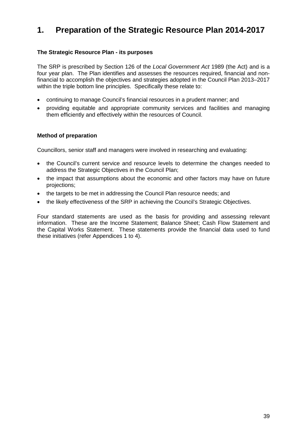# **1. Preparation of the Strategic Resource Plan 2014-2017**

## **The Strategic Resource Plan - its purposes**

The SRP is prescribed by Section 126 of the *Local Government Act* 1989 (the Act) and is a four year plan. The Plan identifies and assesses the resources required, financial and nonfinancial to accomplish the objectives and strategies adopted in the Council Plan 2013–2017 within the triple bottom line principles. Specifically these relate to:

- continuing to manage Council's financial resources in a prudent manner; and
- providing equitable and appropriate community services and facilities and managing them efficiently and effectively within the resources of Council.

#### **Method of preparation**

Councillors, senior staff and managers were involved in researching and evaluating:

- the Council's current service and resource levels to determine the changes needed to address the Strategic Objectives in the Council Plan;
- the impact that assumptions about the economic and other factors may have on future projections;
- the targets to be met in addressing the Council Plan resource needs; and
- the likely effectiveness of the SRP in achieving the Council's Strategic Objectives.

Four standard statements are used as the basis for providing and assessing relevant information. These are the Income Statement; Balance Sheet; Cash Flow Statement and the Capital Works Statement. These statements provide the financial data used to fund these initiatives (refer Appendices 1 to 4).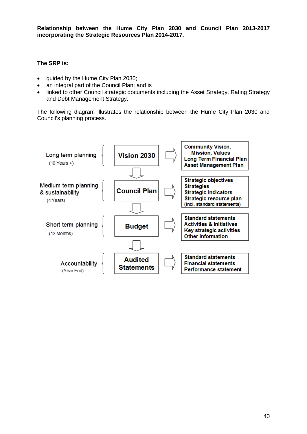**Relationship between the Hume City Plan 2030 and Council Plan 2013-2017 incorporating the Strategic Resources Plan 2014-2017.** 

#### **The SRP is:**

- guided by the Hume City Plan 2030;
- an integral part of the Council Plan; and is
- linked to other Council strategic documents including the Asset Strategy, Rating Strategy and Debt Management Strategy.

The following diagram illustrates the relationship between the Hume City Plan 2030 and Council's planning process.

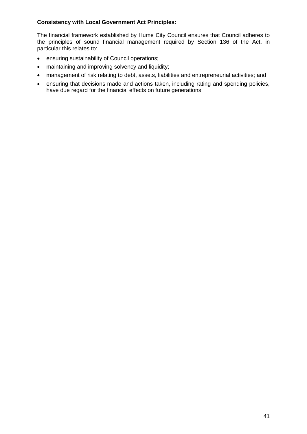## **Consistency with Local Government Act Principles:**

The financial framework established by Hume City Council ensures that Council adheres to the principles of sound financial management required by Section 136 of the Act, in particular this relates to:

- ensuring sustainability of Council operations;
- maintaining and improving solvency and liquidity;
- management of risk relating to debt, assets, liabilities and entrepreneurial activities; and
- ensuring that decisions made and actions taken, including rating and spending policies, have due regard for the financial effects on future generations.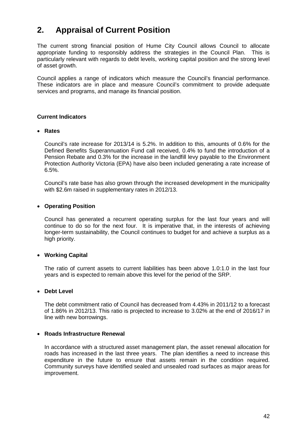# **2. Appraisal of Current Position**

The current strong financial position of Hume City Council allows Council to allocate appropriate funding to responsibly address the strategies in the Council Plan. This is particularly relevant with regards to debt levels, working capital position and the strong level of asset growth.

Council applies a range of indicators which measure the Council's financial performance. These indicators are in place and measure Council's commitment to provide adequate services and programs, and manage its financial position.

#### **Current Indicators**

#### • **Rates**

Council's rate increase for 2013/14 is 5.2%. In addition to this, amounts of 0.6% for the Defined Benefits Superannuation Fund call received, 0.4% to fund the introduction of a Pension Rebate and 0.3% for the increase in the landfill levy payable to the Environment Protection Authority Victoria (EPA) have also been included generating a rate increase of 6.5%.

Council's rate base has also grown through the increased development in the municipality with \$2.6m raised in supplementary rates in 2012/13.

#### • **Operating Position**

Council has generated a recurrent operating surplus for the last four years and will continue to do so for the next four. It is imperative that, in the interests of achieving longer-term sustainability, the Council continues to budget for and achieve a surplus as a high priority.

#### • **Working Capital**

The ratio of current assets to current liabilities has been above 1.0:1.0 in the last four years and is expected to remain above this level for the period of the SRP.

#### • **Debt Level**

The debt commitment ratio of Council has decreased from 4.43% in 2011/12 to a forecast of 1.86% in 2012/13. This ratio is projected to increase to 3.02% at the end of 2016/17 in line with new borrowings.

#### • **Roads Infrastructure Renewal**

In accordance with a structured asset management plan, the asset renewal allocation for roads has increased in the last three years. The plan identifies a need to increase this expenditure in the future to ensure that assets remain in the condition required. Community surveys have identified sealed and unsealed road surfaces as major areas for improvement.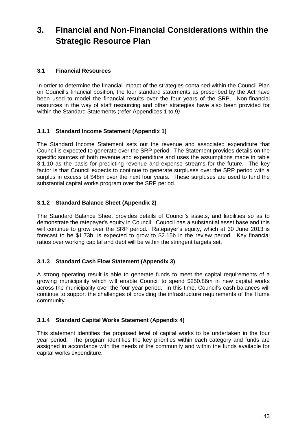# **3. Financial and Non-Financial Considerations within the Strategic Resource Plan**

# **3.1 Financial Resources**

In order to determine the financial impact of the strategies contained within the Council Plan on Council's financial position, the four standard statements as prescribed by the Act have been used to model the financial results over the four years of the SRP. Non-financial resources in the way of staff resourcing and other strategies have also been provided for within the Standard Statements (refer Appendices 1 to 9*)*

# **3.1.1 Standard Income Statement (Appendix 1)**

The Standard Income Statement sets out the revenue and associated expenditure that Council is expected to generate over the SRP period. The Statement provides details on the specific sources of both revenue and expenditure and uses the assumptions made in table 3.1.10 as the basis for predicting revenue and expense streams for the future. The key factor is that Council expects to continue to generate surpluses over the SRP period with a surplus in excess of \$48m over the next four years. These surpluses are used to fund the substantial capital works program over the SRP period.

# **3.1.2 Standard Balance Sheet (Appendix 2)**

The Standard Balance Sheet provides details of Council's assets, and liabilities so as to demonstrate the ratepayer's equity in Council. Council has a substantial asset base and this will continue to grow over the SRP period. Ratepayer's equity, which at 30 June 2013 is forecast to be \$1.73b, is expected to grow to \$2.15b in the review period. Key financial ratios over working capital and debt will be within the stringent targets set.

# **3.1.3 Standard Cash Flow Statement (Appendix 3)**

A strong operating result is able to generate funds to meet the capital requirements of a growing municipality which will enable Council to spend \$250.86m in new capital works across the municipality over the four year period. In this time, Council's cash balances will continue to support the challenges of providing the infrastructure requirements of the Hume community.

# **3.1.4 Standard Capital Works Statement (Appendix 4)**

This statement identifies the proposed level of capital works to be undertaken in the four year period. The program identifies the key priorities within each category and funds are assigned in accordance with the needs of the community and within the funds available for capital works expenditure.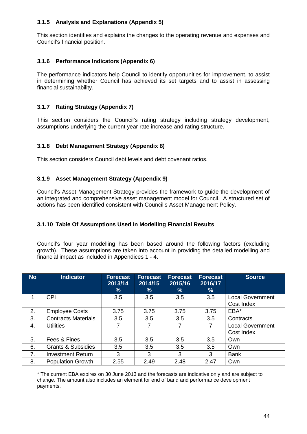# **3.1.5 Analysis and Explanations (Appendix 5)**

This section identifies and explains the changes to the operating revenue and expenses and Council's financial position.

#### **3.1.6 Performance Indicators (Appendix 6)**

The performance indicators help Council to identify opportunities for improvement, to assist in determining whether Council has achieved its set targets and to assist in assessing financial sustainability.

#### **3.1.7 Rating Strategy (Appendix 7)**

This section considers the Council's rating strategy including strategy development, assumptions underlying the current year rate increase and rating structure.

#### **3.1.8 Debt Management Strategy (Appendix 8)**

This section considers Council debt levels and debt covenant ratios.

#### **3.1.9 Asset Management Strategy (Appendix 9)**

Council's Asset Management Strategy provides the framework to guide the development of an integrated and comprehensive asset management model for Council. A structured set of actions has been identified consistent with Council's Asset Management Policy.

#### **3.1.10 Table Of Assumptions Used in Modelling Financial Results**

Council's four year modelling has been based around the following factors (excluding growth). These assumptions are taken into account in providing the detailed modelling and financial impact as included in Appendices 1 - 4.

| <b>No</b> | <b>Indicator</b>              | <b>Forecast</b><br>2013/14<br>% | <b>Forecast</b><br>2014/15<br>% | <b>Forecast</b><br>2015/16<br>% | <b>Forecast</b><br>2016/17<br>$\%$ | <b>Source</b>                         |
|-----------|-------------------------------|---------------------------------|---------------------------------|---------------------------------|------------------------------------|---------------------------------------|
|           | <b>CPI</b>                    | 3.5                             | 3.5                             | 3.5                             | 3.5                                | <b>Local Government</b><br>Cost Index |
| 2.        | <b>Employee Costs</b>         | 3.75                            | 3.75                            | 3.75                            | 3.75                               | EBA*                                  |
| 3.        | <b>Contracts Materials</b>    | 3.5                             | 3.5                             | 3.5                             | 3.5                                | Contracts                             |
| 4.        | <b>Utilities</b>              | 7                               | 7                               | 7                               | $\overline{7}$                     | <b>Local Government</b><br>Cost Index |
| 5.        | Fees & Fines                  | 3.5                             | 3.5                             | 3.5                             | 3.5                                | Own                                   |
| 6.        | <b>Grants &amp; Subsidies</b> | 3.5                             | 3.5                             | 3.5                             | 3.5                                | Own                                   |
| 7.        | <b>Investment Return</b>      | 3                               | 3                               | 3                               | 3                                  | <b>Bank</b>                           |
| 8.        | <b>Population Growth</b>      | 2.55                            | 2.49                            | 2.48                            | 2.47                               | Own                                   |

\* The current EBA expires on 30 June 2013 and the forecasts are indicative only and are subject to change. The amount also includes an element for end of band and performance development payments.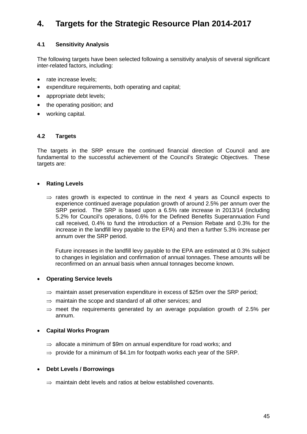# **4. Targets for the Strategic Resource Plan 2014-2017**

# **4.1 Sensitivity Analysis**

The following targets have been selected following a sensitivity analysis of several significant inter-related factors, including:

- rate increase levels;
- expenditure requirements, both operating and capital;
- appropriate debt levels;
- the operating position: and
- working capital.

#### **4.2 Targets**

The targets in the SRP ensure the continued financial direction of Council and are fundamental to the successful achievement of the Council's Strategic Objectives. These targets are:

#### • **Rating Levels**

 $\Rightarrow$  rates growth is expected to continue in the next 4 years as Council expects to experience continued average population growth of around 2.5% per annum over the SRP period. The SRP is based upon a 6.5% rate increase in 2013/14 (including 5.2% for Council's operations, 0.6% for the Defined Benefits Superannuation Fund call received, 0.4% to fund the introduction of a Pension Rebate and 0.3% for the increase in the landfill levy payable to the EPA) and then a further 5.3% increase per annum over the SRP period.

Future increases in the landfill levy payable to the EPA are estimated at 0.3% subject to changes in legislation and confirmation of annual tonnages. These amounts will be reconfirmed on an annual basis when annual tonnages become known.

#### • **Operating Service levels**

- $\Rightarrow$  maintain asset preservation expenditure in excess of \$25m over the SRP period:
- $\Rightarrow$  maintain the scope and standard of all other services; and
- $\Rightarrow$  meet the requirements generated by an average population growth of 2.5% per annum.

#### • **Capital Works Program**

- $\Rightarrow$  allocate a minimum of \$9m on annual expenditure for road works: and
- $\Rightarrow$  provide for a minimum of \$4.1m for footpath works each vear of the SRP.

#### • **Debt Levels / Borrowings**

⇒ maintain debt levels and ratios at below established covenants.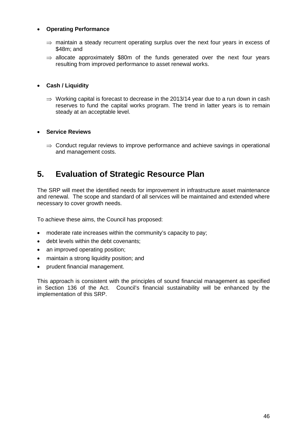# • **Operating Performance**

- $\Rightarrow$  maintain a steady recurrent operating surplus over the next four years in excess of \$48m; and
- $\Rightarrow$  allocate approximately \$80m of the funds generated over the next four years resulting from improved performance to asset renewal works.

#### • **Cash / Liquidity**

 $\Rightarrow$  Working capital is forecast to decrease in the 2013/14 year due to a run down in cash reserves to fund the capital works program. The trend in latter years is to remain steady at an acceptable level.

#### • **Service Reviews**

 $\Rightarrow$  Conduct regular reviews to improve performance and achieve savings in operational and management costs.

# **5. Evaluation of Strategic Resource Plan**

The SRP will meet the identified needs for improvement in infrastructure asset maintenance and renewal. The scope and standard of all services will be maintained and extended where necessary to cover growth needs.

To achieve these aims, the Council has proposed:

- moderate rate increases within the community's capacity to pay;
- debt levels within the debt covenants;
- an improved operating position;
- maintain a strong liquidity position; and
- prudent financial management.

This approach is consistent with the principles of sound financial management as specified in Section 136 of the Act. Council's financial sustainability will be enhanced by the implementation of this SRP.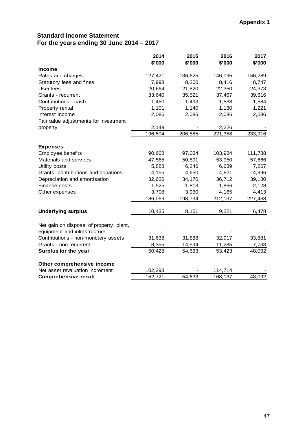# **Standard Income Statement For the years ending 30 June 2014 – 2017**

|                                                               | 2014<br>\$'000 | 2015<br>\$'000 | 2016<br>\$'000 | 2017<br>\$'000 |
|---------------------------------------------------------------|----------------|----------------|----------------|----------------|
| <b>Income</b>                                                 |                |                |                |                |
| Rates and charges                                             | 127,421        | 136,625        | 146,095        | 156,289        |
| Statutory fees and fines                                      | 7,993          | 8,200          | 8,416          | 8,747          |
| User fees                                                     | 20,664         | 21,820         | 22,350         | 24,373         |
| Grants - recurrent                                            | 33,640         | 35,521         | 37,467         | 39,616         |
| Contributions - cash                                          | 1,450          | 1,493          | 1,538          | 1,584          |
| Property rental                                               | 1,101          | 1,140          | 1,180          | 1,221          |
| Interest income                                               | 2,086          | 2,086          | 2,086          | 2,086          |
| Fair value adjustments for investment                         |                |                |                |                |
|                                                               | 2,149          |                | 2,226          |                |
| property                                                      | 196,504        | 206,885        | 221,358        | 233,916        |
|                                                               |                |                |                |                |
| <b>Expenses</b>                                               |                |                |                |                |
| Employee benefits                                             | 90,608         | 97,034         | 103,984        | 111,788        |
| Materials and services                                        | 47,565         | 50,891         | 53,950         | 57,666         |
| Utility costs                                                 | 5,888          | 6,246          | 6,639          | 7,267          |
| Grants, contributions and donations                           | 4,155          | 4,650          | 4,821          | 4,996          |
| Depreciation and amortisation                                 | 32,620         | 34,170         | 36,712         | 39,180         |
| Finance costs                                                 | 1,525          | 1,813          | 1,866          | 2,128          |
| Other expenses                                                | 3,708          | 3,930          | 4,165          | 4,413          |
|                                                               | 186,069        | 198,734        | 212,137        | 227,438        |
|                                                               |                |                |                |                |
| <b>Underlying surplus</b>                                     | 10,435         | 8,151          | 9,221          | 6,478          |
|                                                               |                |                |                |                |
| Net gain on disposal of property, plant,                      |                |                |                |                |
| equipment and infrastructure                                  |                |                |                |                |
| Contributions - non-monetery assets                           | 31,638         | 31,888         | 32,917         | 33,881         |
| Grants - non-recurrent                                        | 8,355          | 14,594         | 11,285         | 7,733          |
| Surplus for the year                                          | 50,428         | 54,633         | 53,423         | 48,092         |
|                                                               |                |                |                |                |
| Other comprehensive income<br>Net asset revaluation increment | 102,293        |                |                |                |
|                                                               |                |                | 114,714        |                |
| <b>Comprehensive result</b>                                   | 152,721        | 54,633         | 168,137        | 48,092         |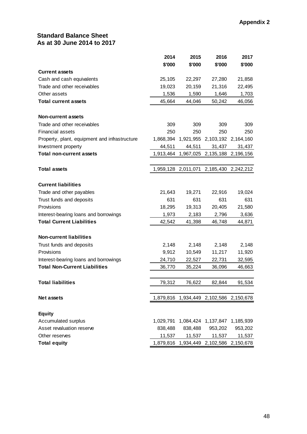# **Standard Balance Sheet As at 30 June 2014 to 2017**

|                                               | 2014      | 2015    | 2016                                    | 2017    |
|-----------------------------------------------|-----------|---------|-----------------------------------------|---------|
|                                               | \$'000    | \$'000  | \$'000                                  | \$'000  |
| <b>Current assets</b>                         |           |         |                                         |         |
| Cash and cash equivalents                     | 25,105    | 22,297  | 27,280                                  | 21,858  |
| Trade and other receivables                   | 19,023    | 20,159  | 21,316                                  | 22,495  |
| Other assets                                  | 1,536     | 1,590   | 1,646                                   | 1,703   |
| <b>Total current assets</b>                   | 45,664    | 44,046  | 50,242                                  | 46,056  |
| <b>Non-current assets</b>                     |           |         |                                         |         |
| Trade and other receivables                   | 309       | 309     | 309                                     | 309     |
| <b>Financial assets</b>                       | 250       | 250     | 250                                     | 250     |
| Property, plant, equipment and infrastructure | 1,868,394 |         | 1,921,955 2,103,192 2,164,160           |         |
| Investment property                           | 44,511    | 44,511  | 31,437                                  | 31,437  |
| <b>Total non-current assets</b>               | 1,913,464 |         | 1,967,025 2,135,188 2,196,156           |         |
| <b>Total assets</b>                           |           |         | 1,959,128 2,011,071 2,185,430 2,242,212 |         |
| <b>Current liabilities</b>                    |           |         |                                         |         |
| Trade and other payables                      | 21,643    | 19,271  | 22,916                                  | 19,024  |
| Trust funds and deposits                      | 631       | 631     | 631                                     | 631     |
| Provisions                                    | 18,295    | 19,313  | 20,405                                  | 21,580  |
| Interest-bearing loans and borrowings         | 1,973     | 2,183   | 2,796                                   | 3,636   |
| <b>Total Current Liabilities</b>              | 42,542    | 41,398  | 46,748                                  | 44,871  |
| <b>Non-current liabilities</b>                |           |         |                                         |         |
| Trust funds and deposits                      | 2,148     | 2,148   | 2,148                                   | 2,148   |
| Provisions                                    | 9,912     | 10,549  | 11,217                                  | 11,920  |
| Interest-bearing loans and borrowings         | 24,710    | 22,527  | 22,731                                  | 32,595  |
| <b>Total Non-Current Liabilities</b>          | 36,770    | 35,224  | 36,096                                  | 46,663  |
| <b>Total liabilities</b>                      | 79,312    | 76,622  | 82,844                                  | 91,534  |
|                                               |           |         |                                         |         |
| Net assets                                    |           |         | 1,879,816 1,934,449 2,102,586 2,150,678 |         |
| <b>Equity</b>                                 |           |         |                                         |         |
| Accumulated surplus                           |           |         | 1,029,791 1,084,424 1,137,847 1,185,939 |         |
| Asset revaluation reserve                     | 838,488   | 838,488 | 953,202                                 | 953,202 |
| Other reserves                                | 11,537    | 11,537  | 11,537                                  | 11,537  |
| <b>Total equity</b>                           |           |         | 1,879,816 1,934,449 2,102,586 2,150,678 |         |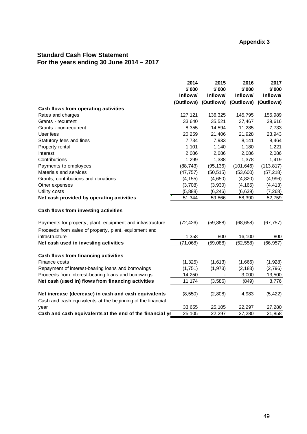# **Appendix 3**

# **Standard Cash Flow Statement For the years ending 30 June 2014 – 2017**

|                                                                                                                     | 2014<br>\$'000<br><b>Inflows</b> | 2015<br>\$'000<br><b>Inflows</b> | 2016<br>\$'000<br><b>Inflows</b> | 2017<br>\$'000<br>Inflows/ |
|---------------------------------------------------------------------------------------------------------------------|----------------------------------|----------------------------------|----------------------------------|----------------------------|
|                                                                                                                     | (Outflows)                       | (Outflows)                       | (Outflows)                       | (Outflows)                 |
| Cash flows from operating activities                                                                                |                                  |                                  |                                  |                            |
| Rates and charges                                                                                                   | 127,121                          | 136,325                          | 145,795                          | 155,989                    |
| Grants - recurrent                                                                                                  | 33,640                           | 35,521                           | 37,467                           | 39,616                     |
| Grants - non-recurrent                                                                                              | 8,355                            | 14,594                           | 11,285                           | 7,733                      |
| User fees                                                                                                           | 20,259                           | 21,406                           | 21,928                           | 23,943                     |
| Statutory fees and fines                                                                                            | 7,734                            | 7,933                            | 8,141                            | 8,464                      |
| Property rental                                                                                                     | 1,101                            | 1,140                            | 1,180                            | 1,221                      |
| <b>Interest</b>                                                                                                     | 2,086                            | 2,086                            | 2,086                            | 2,086                      |
| Contributions                                                                                                       | 1,299                            | 1,338                            | 1,378                            | 1,419                      |
| Payments to employees                                                                                               | (88, 743)                        | (95, 136)                        | (101, 646)                       | (113, 817)                 |
| Materials and services                                                                                              | (47, 757)                        | (50, 515)                        | (53,600)                         | (57, 218)                  |
| Grants, contributions and donations                                                                                 | (4, 155)                         | (4,650)                          | (4, 820)                         | (4,996)                    |
| Other expenses                                                                                                      | (3,708)                          | (3,930)                          | (4, 165)                         | (4, 413)                   |
| Utility costs                                                                                                       | (5,888)                          | (6, 246)                         | (6,639)                          | (7, 268)                   |
| Net cash provided by operating activities                                                                           | 51,344                           | 59,866                           | 58,390                           | 52,759                     |
| Cash flows from investing activities                                                                                |                                  |                                  |                                  |                            |
| Payments for property, plant, equipment and infrastructure<br>Proceeds from sales of property, plant, equipment and | (72, 426)                        | (59, 888)                        | (68, 658)                        | (67, 757)                  |
| infrastructure                                                                                                      | 1,358                            | 800                              | 16,100                           | 800                        |
| Net cash used in investing activities                                                                               | (71,068)                         | (59,088)                         | (52, 558)                        | (66, 957)                  |
| Cash flows from financing activities                                                                                |                                  |                                  |                                  |                            |
| Finance costs                                                                                                       | (1, 325)                         | (1,613)                          | (1,666)                          | (1,928)                    |
| Repayment of interest-bearing loans and borrowings                                                                  | (1,751)                          | (1, 973)                         | (2, 183)                         | (2,796)                    |
| Proceeds from interest-bearing loans and borrowings                                                                 | 14,250                           |                                  | 3,000                            | 13,500                     |
| Net cash (used in) flows from financing activities                                                                  | 11,174                           | (3, 586)                         | (849)                            | 8,776                      |
| Net increase (decrease) in cash and cash equivalents                                                                | (8, 550)                         | (2,808)                          | 4,983                            | (5, 422)                   |
| Cash and cash equivalents at the beginning of the financial<br>year                                                 | 33,655                           | 25,105                           | 22,297                           | 27,280                     |
| Cash and cash equivalents at the end of the financial ye                                                            | 25,105                           | 22,297                           | 27,280                           | 21,858                     |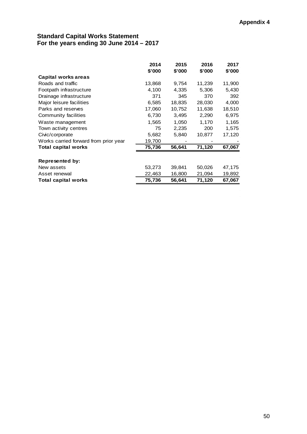# **Standard Capital Works Statement For the years ending 30 June 2014 – 2017**

|                                       | 2014<br>\$'000 | 2015<br>\$'000 | 2016<br>\$'000 | 2017<br>\$'000 |
|---------------------------------------|----------------|----------------|----------------|----------------|
| Capital works areas                   |                |                |                |                |
| Roads and traffic                     | 13,868         | 9,754          | 11,239         | 11,900         |
| Footpath infrastructure               | 4,100          | 4,335          | 5,306          | 5,430          |
| Drainage infrastructure               | 371            | 345            | 370            | 392            |
| Major leisure facilities              | 6,585          | 18,835         | 28,030         | 4,000          |
| Parks and reserves                    | 17,060         | 10,752         | 11,638         | 18,510         |
| Community facilities                  | 6,730          | 3,495          | 2,290          | 6,975          |
| Waste management                      | 1,565          | 1,050          | 1,170          | 1,165          |
| Town activity centres                 | 75             | 2,235          | 200            | 1,575          |
| Civic/corporate                       | 5,682          | 5,840          | 10,877         | 17,120         |
| Works carried forward from prior year | 19,700         |                |                |                |
| Total capital works                   | 75,736         | 56,641         | 71,120         | 67,067         |
|                                       |                |                |                |                |
| Represented by:                       |                |                |                |                |
| New assets                            | 53,273         | 39,841         | 50,026         | 47,175         |
| Asset renewal                         | 22,463         | 16,800         | 21,094         | 19,892         |
| Total capital works                   | 75,736         | 56,641         | 71,120         | 67,067         |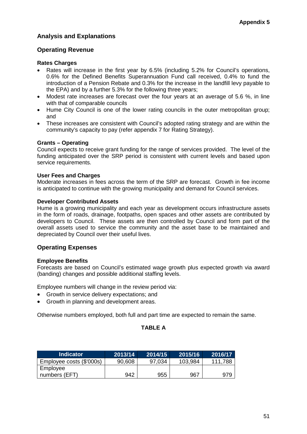# **Analysis and Explanations**

# **Operating Revenue**

#### **Rates Charges**

- Rates will increase in the first year by 6.5% (including 5.2% for Council's operations, 0.6% for the Defined Benefits Superannuation Fund call received, 0.4% to fund the introduction of a Pension Rebate and 0.3% for the increase in the landfill levy payable to the EPA) and by a further 5.3% for the following three years;
- Modest rate increases are forecast over the four years at an average of 5.6 %, in line with that of comparable councils
- Hume City Council is one of the lower rating councils in the outer metropolitan group; and
- These increases are consistent with Council's adopted rating strategy and are within the community's capacity to pay (refer appendix 7 for Rating Strategy).

#### **Grants – Operating**

Council expects to receive grant funding for the range of services provided. The level of the funding anticipated over the SRP period is consistent with current levels and based upon service requirements.

#### **User Fees and Charges**

Moderate increases in fees across the term of the SRP are forecast. Growth in fee income is anticipated to continue with the growing municipality and demand for Council services.

#### **Developer Contributed Assets**

Hume is a growing municipality and each year as development occurs infrastructure assets in the form of roads, drainage, footpaths, open spaces and other assets are contributed by developers to Council. These assets are then controlled by Council and form part of the overall assets used to service the community and the asset base to be maintained and depreciated by Council over their useful lives.

# **Operating Expenses**

#### **Employee Benefits**

Forecasts are based on Council's estimated wage growth plus expected growth via award (banding) changes and possible additional staffing levels.

Employee numbers will change in the review period via:

- Growth in service delivery expectations; and
- Growth in planning and development areas.

Otherwise numbers employed, both full and part time are expected to remain the same.

#### **TABLE A**

| <b>Indicator</b>         | 2013/14 | 2014/15 | 2015/16 | 2016/17 |
|--------------------------|---------|---------|---------|---------|
| Employee costs (\$'000s) | 90,608  | 97,034  | 103,984 | 111,788 |
| Employee                 |         |         |         |         |
| numbers (EFT)            | 942     | 955     | 967     | 979     |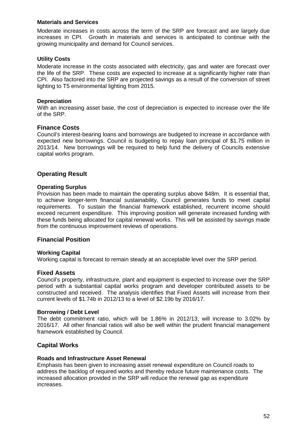#### **Materials and Services**

Moderate increases in costs across the term of the SRP are forecast and are largely due increases in CPI. Growth in materials and services is anticipated to continue with the growing municipality and demand for Council services.

#### **Utility Costs**

Moderate increase in the costs associated with electricity, gas and water are forecast over the life of the SRP. These costs are expected to increase at a significantly higher rate than CPI. Also factored into the SRP are projected savings as a result of the conversion of street lighting to T5 environmental lighting from 2015.

#### **Depreciation**

With an increasing asset base, the cost of depreciation is expected to increase over the life of the SRP.

#### **Finance Costs**

Council's interest-bearing loans and borrowings are budgeted to increase in accordance with expected new borrowings. Council is budgeting to repay loan principal of \$1.75 million in 2013/14. New borrowings will be required to help fund the delivery of Councils extensive capital works program.

#### **Operating Result**

#### **Operating Surplus**

Provision has been made to maintain the operating surplus above \$48m. It is essential that, to achieve longer-term financial sustainability, Council generates funds to meet capital requirements. To sustain the financial framework established, recurrent income should exceed recurrent expenditure. This improving position will generate increased funding with these funds being allocated for capital renewal works. This will be assisted by savings made from the continuous improvement reviews of operations.

#### **Financial Position**

#### **Working Capital**

Working capital is forecast to remain steady at an acceptable level over the SRP period.

#### **Fixed Assets**

Council's property, infrastructure, plant and equipment is expected to increase over the SRP period with a substantial capital works program and developer contributed assets to be constructed and received. The analysis identifies that Fixed Assets will increase from their current levels of \$1.74b in 2012/13 to a level of \$2.19b by 2016/17.

#### **Borrowing / Debt Level**

The debt commitment ratio, which will be 1.86% in 2012/13, will increase to 3.02% by 2016/17. All other financial ratios will also be well within the prudent financial management framework established by Council.

#### **Capital Works**

#### **Roads and Infrastructure Asset Renewal**

Emphasis has been given to increasing asset renewal expenditure on Council roads to address the backlog of required works and thereby reduce future maintenance costs. The increased allocation provided in the SRP will reduce the renewal gap as expenditure increases.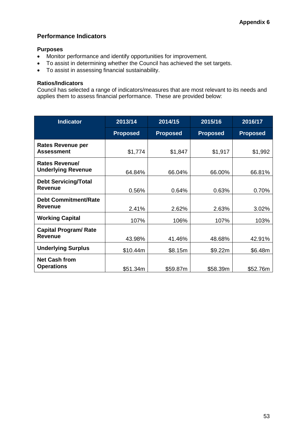#### **Performance Indicators**

#### **Purposes**

- Monitor performance and identify opportunities for improvement.
- To assist in determining whether the Council has achieved the set targets.
- To assist in assessing financial sustainability.

#### **Ratios/Indicators**

Council has selected a range of indicators/measures that are most relevant to its needs and applies them to assess financial performance. These are provided below:

| <b>Indicator</b>                               | 2013/14         | 2014/15         | 2015/16         | 2016/17         |
|------------------------------------------------|-----------------|-----------------|-----------------|-----------------|
|                                                | <b>Proposed</b> | <b>Proposed</b> | <b>Proposed</b> | <b>Proposed</b> |
| <b>Rates Revenue per</b><br><b>Assessment</b>  | \$1,774         | \$1,847         | \$1,917         | \$1,992         |
| Rates Revenue/<br><b>Underlying Revenue</b>    | 64.84%          | 66.04%          | 66.00%          | 66.81%          |
| <b>Debt Servicing/Total</b><br><b>Revenue</b>  | 0.56%           | 0.64%           | 0.63%           | 0.70%           |
| <b>Debt Commitment/Rate</b><br>Revenue         | 2.41%           | 2.62%           | 2.63%           | 3.02%           |
| <b>Working Capital</b>                         | 107%            | 106%            | 107%            | 103%            |
| <b>Capital Program/ Rate</b><br><b>Revenue</b> | 43.98%          | 41.46%          | 48.68%          | 42.91%          |
| <b>Underlying Surplus</b>                      | \$10.44m        | \$8.15m         | \$9.22m         | \$6.48m         |
| <b>Net Cash from</b><br><b>Operations</b>      | \$51.34m        | \$59.87m        | \$58.39m        | \$52.76m        |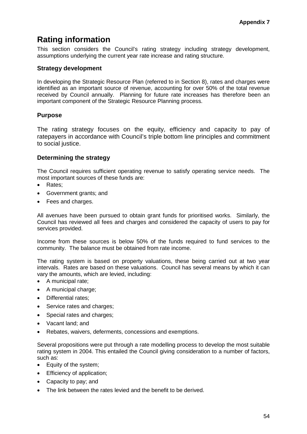# **Rating information**

This section considers the Council's rating strategy including strategy development, assumptions underlying the current year rate increase and rating structure.

# **Strategy development**

In developing the Strategic Resource Plan (referred to in Section 8), rates and charges were identified as an important source of revenue, accounting for over 50% of the total revenue received by Council annually. Planning for future rate increases has therefore been an important component of the Strategic Resource Planning process.

# **Purpose**

The rating strategy focuses on the equity, efficiency and capacity to pay of ratepayers in accordance with Council's triple bottom line principles and commitment to social justice.

# **Determining the strategy**

The Council requires sufficient operating revenue to satisfy operating service needs. The most important sources of these funds are:

- Rates;
- Government grants; and
- Fees and charges.

All avenues have been pursued to obtain grant funds for prioritised works. Similarly, the Council has reviewed all fees and charges and considered the capacity of users to pay for services provided.

Income from these sources is below 50% of the funds required to fund services to the community. The balance must be obtained from rate income.

The rating system is based on property valuations, these being carried out at two year intervals. Rates are based on these valuations. Council has several means by which it can vary the amounts, which are levied, including:

- A municipal rate;
- A municipal charge;
- Differential rates;
- Service rates and charges;
- Special rates and charges;
- Vacant land; and
- Rebates, waivers, deferments, concessions and exemptions.

Several propositions were put through a rate modelling process to develop the most suitable rating system in 2004. This entailed the Council giving consideration to a number of factors, such as:

- Equity of the system;
- Efficiency of application;
- Capacity to pay; and
- The link between the rates levied and the benefit to be derived.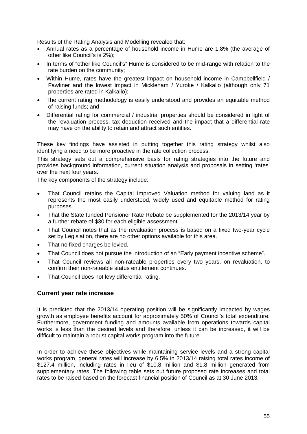Results of the Rating Analysis and Modelling revealed that:

- Annual rates as a percentage of household income in Hume are 1.8% (the average of other like Council's is 2%);
- In terms of "other like Council's" Hume is considered to be mid-range with relation to the rate burden on the community;
- Within Hume, rates have the greatest impact on household income in Campbellfield / Fawkner and the lowest impact in Mickleham / Yuroke / Kalkallo (although only 71 properties are rated in Kalkallo);
- The current rating methodology is easily understood and provides an equitable method of raising funds; and
- Differential rating for commercial / industrial properties should be considered in light of the revaluation process, tax deduction received and the impact that a differential rate may have on the ability to retain and attract such entities.

These key findings have assisted in putting together this rating strategy whilst also identifying a need to be more proactive in the rate collection process.

This strategy sets out a comprehensive basis for rating strategies into the future and provides background information, current situation analysis and proposals in setting 'rates' over the next four years.

The key components of the strategy include:

- That Council retains the Capital Improved Valuation method for valuing land as it represents the most easily understood, widely used and equitable method for rating purposes.
- That the State funded Pensioner Rate Rebate be supplemented for the 2013/14 year by a further rebate of \$30 for each eligible assessment.
- That Council notes that as the revaluation process is based on a fixed two-year cycle set by Legislation, there are no other options available for this area.
- That no fixed charges be levied.
- That Council does not pursue the introduction of an "Early payment incentive scheme".
- That Council reviews all non-rateable properties every two years, on revaluation, to confirm their non-rateable status entitlement continues.
- That Council does not levy differential rating.

#### **Current year rate increase**

It is predicted that the 2013/14 operating position will be significantly impacted by wages growth as employee benefits account for approximately 50% of Council's total expenditure. Furthermore, government funding and amounts available from operations towards capital works is less than the desired levels and therefore, unless it can be increased, it will be difficult to maintain a robust capital works program into the future.

In order to achieve these objectives while maintaining service levels and a strong capital works program, general rates will increase by 6.5% in 2013/14 raising total rates income of \$127.4 million, including rates in lieu of \$10.8 million and \$1.8 million generated from supplementary rates. The following table sets out future proposed rate increases and total rates to be raised based on the forecast financial position of Council as at 30 June 2013.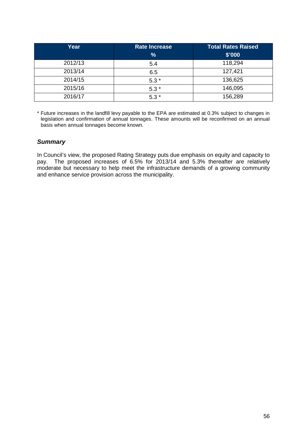| Year    | <b>Rate Increase</b> | <b>Total Rates Raised</b> |
|---------|----------------------|---------------------------|
|         | $\frac{9}{6}$        | \$'000                    |
| 2012/13 | 5.4                  | 118,294                   |
| 2013/14 | 6.5                  | 127,421                   |
| 2014/15 | $5.3*$               | 136,625                   |
| 2015/16 | $5.3*$               | 146,095                   |
| 2016/17 | $5.3*$               | 156,289                   |

\* Future increases in the landfill levy payable to the EPA are estimated at 0.3% subject to changes in legislation and confirmation of annual tonnages. These amounts will be reconfirmed on an annual basis when annual tonnages become known.

## *Summary*

In Council's view, the proposed Rating Strategy puts due emphasis on equity and capacity to pay. The proposed increases of 6.5% for 2013/14 and 5.3% thereafter are relatively moderate but necessary to help meet the infrastructure demands of a growing community and enhance service provision across the municipality.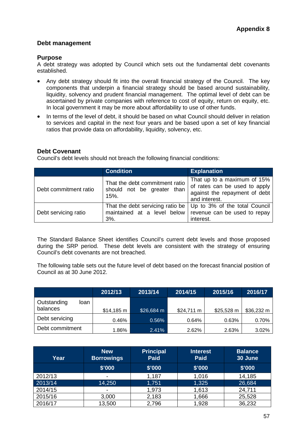# **Debt management**

## **Purpose**

A debt strategy was adopted by Council which sets out the fundamental debt covenants established.

- Any debt strategy should fit into the overall financial strategy of the Council. The key components that underpin a financial strategy should be based around sustainability, liquidity, solvency and prudent financial management. The optimal level of debt can be ascertained by private companies with reference to cost of equity, return on equity, etc. In local government it may be more about affordability to use of other funds.
- In terms of the level of debt, it should be based on what Council should deliver in relation to services and capital in the next four years and be based upon a set of key financial ratios that provide data on affordability, liquidity, solvency, etc.

# **Debt Covenant**

Council's debt levels should not breach the following financial conditions:

|                       | <b>Condition</b>                                                                                       | <b>Explanation</b>                                                                                             |
|-----------------------|--------------------------------------------------------------------------------------------------------|----------------------------------------------------------------------------------------------------------------|
| Debt commitment ratio | That the debt commitment ratio<br>should not be greater than<br>$15%$ .                                | That up to a maximum of 15%<br>of rates can be used to apply<br>against the repayment of debt<br>and interest. |
| Debt servicing ratio  | That the debt servicing ratio be<br>maintained at a level below revenue can be used to repay<br>$3%$ . | Up to 3% of the total Council<br>interest.                                                                     |

The Standard Balance Sheet identifies Council's current debt levels and those proposed during the SRP period. These debt levels are consistent with the strategy of ensuring Council's debt covenants are not breached.

The following table sets out the future level of debt based on the forecast financial position of Council as at 30 June 2012.

|                     | 2012/13             | 2013/14    | 2014/15             | 2015/16             | 2016/17             |
|---------------------|---------------------|------------|---------------------|---------------------|---------------------|
| Outstanding<br>loan |                     |            |                     |                     |                     |
| balances            | $$14,185 \text{ m}$ | \$26,684 m | $$24,711 \text{ m}$ | $$25,528 \text{ m}$ | $$36,232 \text{ m}$ |
| Debt servicing      | 0.46%               | 0.56%      | 0.64%               | 0.63%               | 0.70%               |
| Debt commitment     | 1.86%               | 2.41%      | 2.62%               | 2.63%               | $3.02\%$            |

| Year    | <b>New</b><br><b>Borrowings</b> | <b>Principal</b><br><b>Paid</b> | <b>Interest</b><br><b>Paid</b> | <b>Balance</b><br>30 June |
|---------|---------------------------------|---------------------------------|--------------------------------|---------------------------|
|         | \$'000                          | \$'000                          | \$'000                         | \$'000                    |
| 2012/13 | $\overline{\phantom{0}}$        | 1,187                           | 1,016                          | 14,185                    |
| 2013/14 | 14,250                          | 1,751                           | 1,325                          | 26,684                    |
| 2014/15 | $\overline{\phantom{0}}$        | 1,973                           | 1,613                          | 24,711                    |
| 2015/16 | 3,000                           | 2,183                           | 1,666                          | 25,528                    |
| 2016/17 | 13,500                          | 2,796                           | 1,928                          | 36,232                    |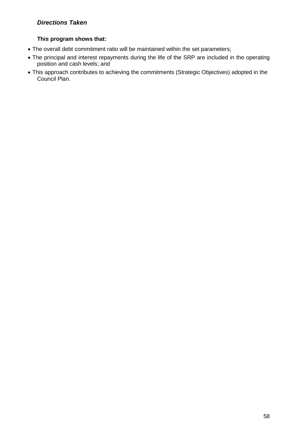# *Directions Taken*

## **This program shows that:**

- The overall debt commitment ratio will be maintained within the set parameters;
- The principal and interest repayments during the life of the SRP are included in the operating position and cash levels; and
- This approach contributes to achieving the commitments (Strategic Objectives) adopted in the Council Plan.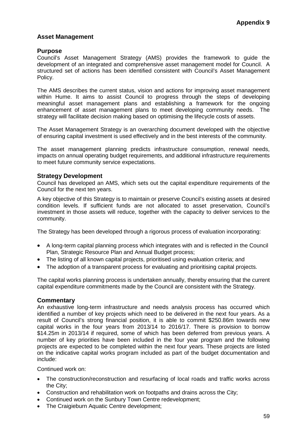## **Asset Management**

## **Purpose**

Council's Asset Management Strategy (AMS) provides the framework to guide the development of an integrated and comprehensive asset management model for Council. A structured set of actions has been identified consistent with Council's Asset Management Policy.

The AMS describes the current status, vision and actions for improving asset management within Hume. It aims to assist Council to progress through the steps of developing meaningful asset management plans and establishing a framework for the ongoing enhancement of asset management plans to meet developing community needs. The strategy will facilitate decision making based on optimising the lifecycle costs of assets.

The Asset Management Strategy is an overarching document developed with the objective of ensuring capital investment is used effectively and in the best interests of the community.

The asset management planning predicts infrastructure consumption, renewal needs, impacts on annual operating budget requirements, and additional infrastructure requirements to meet future community service expectations.

#### **Strategy Development**

Council has developed an AMS, which sets out the capital expenditure requirements of the Council for the next ten years.

A key objective of this Strategy is to maintain or preserve Council's existing assets at desired condition levels. If sufficient funds are not allocated to asset preservation, Council's investment in those assets will reduce, together with the capacity to deliver services to the community.

The Strategy has been developed through a rigorous process of evaluation incorporating:

- A long-term capital planning process which integrates with and is reflected in the Council Plan, Strategic Resource Plan and Annual Budget process;
- The listing of all known capital projects, prioritised using evaluation criteria; and
- The adoption of a transparent process for evaluating and prioritising capital projects.

The capital works planning process is undertaken annually, thereby ensuring that the current capital expenditure commitments made by the Council are consistent with the Strategy.

#### **Commentary**

An exhaustive long-term infrastructure and needs analysis process has occurred which identified a number of key projects which need to be delivered in the next four years. As a result of Council's strong financial position, it is able to commit \$250.86m towards new capital works in the four years from 2013/14 to 2016/17. There is provision to borrow \$14.25m in 2013/14 if required, some of which has been deferred from previous years. A number of key priorities have been included in the four year program and the following projects are expected to be completed within the next four years. These projects are listed on the indicative capital works program included as part of the budget documentation and include:

Continued work on:

- The construction/reconstruction and resurfacing of local roads and traffic works across the City;
- Construction and rehabilitation work on footpaths and drains across the City;
- Continued work on the Sunbury Town Centre redevelopment;
- The Craigieburn Aquatic Centre development;